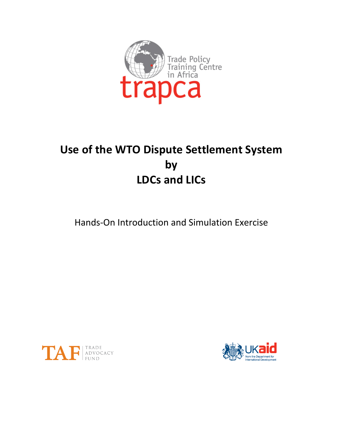

# **Use of the WTO Dispute Settlement System** by **LDCs and LICs**

Hands-On Introduction and Simulation Exercise



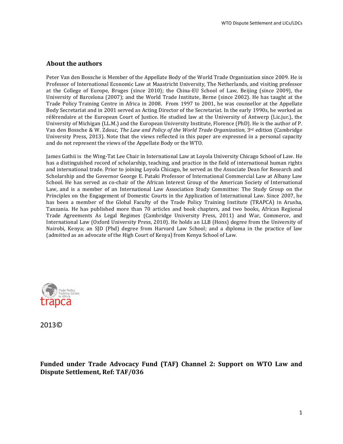#### **About the authors**

Peter Van den Bossche is Member of the Appellate Body of the World Trade Organization since 2009. He is Professor of International Economic Law at Maastricht University, The Netherlands, and visiting professor at the College of Europe, Bruges (since  $2010$ ); the China-EU School of Law, Beijing (since  $2009$ ), the University of Barcelona (2007); and the World Trade Institute, Berne (since 2002). He has taught at the Trade Policy Training Centre in Africa in 2008. From 1997 to 2001, he was counsellor at the Appellate Body Secretariat and in 2001 served as Acting Director of the Secretariat. In the early 1990s, he worked as référendaire at the European Court of Justice. He studied law at the University of Antwerp (Lic.jur.), the University of Michigan (LL.M.) and the European University Institute, Florence (PhD). He is the author of P. Van den Bossche & W. Zdouc, *The Law and Policy of the World Trade Organization*, 3<sup>rd</sup> edition (Cambridge University Press, 2013). Note that the views reflected in this paper are expressed in a personal capacity and do not represent the views of the Appellate Body or the WTO.

James Gathii is the Wing-Tat Lee Chair in International Law at Loyola University Chicago School of Law. He has a distinguished record of scholarship, teaching, and practice in the field of international human rights and international trade. Prior to joining Loyola Chicago, he served as the Associate Dean for Research and Scholarship and the Governor George E. Pataki Professor of International Commercial Law at Albany Law School. He has served as co-chair of the African Interest Group of the American Society of International Law, and is a member of an International Law Association Study Committee: The Study Group on the Principles on the Engagement of Domestic Courts in the Application of International Law. Since 2007, he has been a member of the Global Faculty of the Trade Policy Training Institute (TRAPCA) in Arusha, Tanzania. He has published more than 70 articles and book chapters, and two books, African Regional Trade Agreements As Legal Regimes (Cambridge University Press, 2011) and War, Commerce, and International Law (Oxford University Press, 2010). He holds an LLB (Hons) degree from the University of Nairobi, Kenya; an SJD (Phd) degree from Harvard Law School; and a diploma in the practice of law (admitted as an advocate of the High Court of Kenya) from Kenya School of Law.



2013© 

Funded under Trade Advocacy Fund (TAF) Channel 2: Support on WTO Law and **Dispute Settlement, Ref: TAF/036**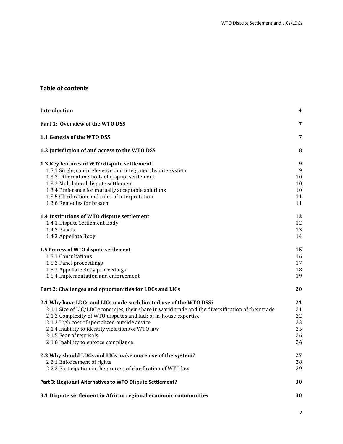# **Table of contents**

| Introduction                                                                                                                                                                                                                                                                                                                                                                                                        | 4                                      |
|---------------------------------------------------------------------------------------------------------------------------------------------------------------------------------------------------------------------------------------------------------------------------------------------------------------------------------------------------------------------------------------------------------------------|----------------------------------------|
| Part 1: Overview of the WTO DSS                                                                                                                                                                                                                                                                                                                                                                                     | 7                                      |
| 1.1 Genesis of the WTO DSS                                                                                                                                                                                                                                                                                                                                                                                          | 7                                      |
| 1.2 Jurisdiction of and access to the WTO DSS                                                                                                                                                                                                                                                                                                                                                                       | 8                                      |
| 1.3 Key features of WTO dispute settlement<br>1.3.1 Single, comprehensive and integrated dispute system<br>1.3.2 Different methods of dispute settlement<br>1.3.3 Multilateral dispute settlement<br>1.3.4 Preference for mutually acceptable solutions<br>1.3.5 Clarification and rules of interpretation<br>1.3.6 Remedies for breach                                                                             | 9<br>9<br>10<br>10<br>10<br>11<br>11   |
| 1.4 Institutions of WTO dispute settlement<br>1.4.1 Dispute Settlement Body<br>1.4.2 Panels<br>1.4.3 Appellate Body                                                                                                                                                                                                                                                                                                 | 12<br>12<br>13<br>14                   |
| 1.5 Process of WTO dispute settlement<br>1.5.1 Consultations<br>1.5.2 Panel proceedings<br>1.5.3 Appellate Body proceedings<br>1.5.4 Implementation and enforcement                                                                                                                                                                                                                                                 | 15<br>16<br>17<br>18<br>19             |
| Part 2: Challenges and opportunities for LDCs and LICs                                                                                                                                                                                                                                                                                                                                                              | 20                                     |
| 2.1 Why have LDCs and LICs made such limited use of the WTO DSS?<br>2.1.1 Size of LIC/LDC economies, their share in world trade and the diversification of their trade<br>2.1.2 Complexity of WTO disputes and lack of in-house expertise<br>2.1.3 High cost of specialized outside advice<br>2.1.4 Inability to identify violations of WTO law<br>2.1.5 Fear of reprisals<br>2.1.6 Inability to enforce compliance | 21<br>21<br>22<br>23<br>25<br>26<br>26 |
| 2.2 Why should LDCs and LICs make more use of the system?<br>2.2.1 Enforcement of rights<br>2.2.2 Participation in the process of clarification of WTO law                                                                                                                                                                                                                                                          | 27<br>28<br>29                         |
| Part 3: Regional Alternatives to WTO Dispute Settlement?                                                                                                                                                                                                                                                                                                                                                            | 30                                     |
| 3.1 Dispute settlement in African regional economic communities                                                                                                                                                                                                                                                                                                                                                     | 30                                     |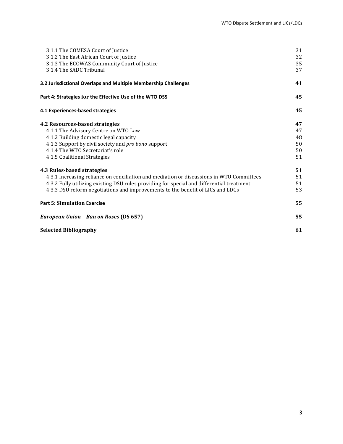| 3.1.1 The COMESA Court of Justice<br>3.1.2 The East African Court of Justice<br>3.1.3 The ECOWAS Community Court of Justice                                                                                                                                                                           | 31<br>32<br>35                   |
|-------------------------------------------------------------------------------------------------------------------------------------------------------------------------------------------------------------------------------------------------------------------------------------------------------|----------------------------------|
| 3.1.4 The SADC Tribunal<br>3.2 Jurisdictional Overlaps and Multiple Membership Challenges                                                                                                                                                                                                             | 37<br>41                         |
| Part 4: Strategies for the Effective Use of the WTO DSS                                                                                                                                                                                                                                               | 45                               |
| 4.1 Experiences-based strategies                                                                                                                                                                                                                                                                      | 45                               |
| 4.2 Resources-based strategies<br>4.1.1 The Advisory Centre on WTO Law<br>4.1.2 Building domestic legal capacity<br>4.1.3 Support by civil society and pro bono support<br>4.1.4 The WTO Secretariat's role<br>4.1.5 Coalitional Strategies                                                           | 47<br>47<br>48<br>50<br>50<br>51 |
| 4.3 Rules-based strategies<br>4.3.1 Increasing reliance on conciliation and mediation or discussions in WTO Committees<br>4.3.2 Fully utilizing existing DSU rules providing for special and differential treatment<br>4.3.3 DSU reform negotiations and improvements to the benefit of LICs and LDCs | 51<br>51<br>51<br>53             |
| <b>Part 5: Simulation Exercise</b>                                                                                                                                                                                                                                                                    | 55                               |
| European Union - Ban on Roses (DS 657)                                                                                                                                                                                                                                                                | 55                               |
| <b>Selected Bibliography</b>                                                                                                                                                                                                                                                                          | 61                               |
|                                                                                                                                                                                                                                                                                                       |                                  |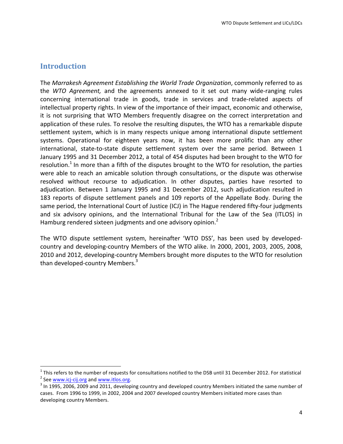# **Introduction**

<u> 1989 - Jan Samuel Barbara, margaret e</u>

The Marrakesh Agreement Establishing the World Trade Organization, commonly referred to as the *WTO Agreement*, and the agreements annexed to it set out many wide-ranging rules concerning international trade in goods, trade in services and trade-related aspects of intellectual property rights. In view of the importance of their impact, economic and otherwise, it is not surprising that WTO Members frequently disagree on the correct interpretation and application of these rules. To resolve the resulting disputes, the WTO has a remarkable dispute settlement system, which is in many respects unique among international dispute settlement systems. Operational for eighteen years now, it has been more prolific than any other international, state-to-state dispute settlement system over the same period. Between 1 January 1995 and 31 December 2012, a total of 454 disputes had been brought to the WTO for resolution.<sup>1</sup> In more than a fifth of the disputes brought to the WTO for resolution, the parties were able to reach an amicable solution through consultations, or the dispute was otherwise resolved without recourse to adjudication. In other disputes, parties have resorted to adjudication. Between 1 January 1995 and 31 December 2012, such adjudication resulted in 183 reports of dispute settlement panels and 109 reports of the Appellate Body. During the same period, the International Court of Justice (ICJ) in The Hague rendered fifty-four judgments and six advisory opinions, and the International Tribunal for the Law of the Sea (ITLOS) in Hamburg rendered sixteen judgments and one advisory opinion.<sup>2</sup>

The WTO dispute settlement system, hereinafter 'WTO DSS', has been used by developedcountry and developing-country Members of the WTO alike. In 2000, 2001, 2003, 2005, 2008, 2010 and 2012, developing-country Members brought more disputes to the WTO for resolution than developed-country Members. $3$ 

<sup>&</sup>lt;sup>1</sup> This refers to the number of requests for consultations notified to the DSB until 31 December 2012. For statistical  $\sigma^2$  See www.icj-cij.org and www.itlos.org.<br><sup>2</sup> See www.icj-cij.org and www.itlos.org.<br><sup>3</sup> In 1995,

cases. From 1996 to 1999, in 2002, 2004 and 2007 developed country Members initiated more cases than developing country Members.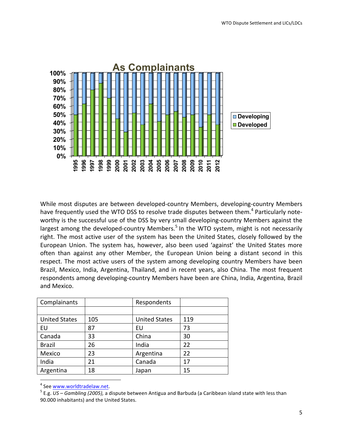

While most disputes are between developed-country Members, developing-country Members have frequently used the WTO DSS to resolve trade disputes between them.<sup>4</sup> Particularly noteworthy is the successful use of the DSS by very small developing-country Members against the largest among the developed-country Members.<sup>5</sup> In the WTO system, might is not necessarily right. The most active user of the system has been the United States, closely followed by the European Union. The system has, however, also been used 'against' the United States more often than against any other Member, the European Union being a distant second in this respect. The most active users of the system among developing country Members have been Brazil, Mexico, India, Argentina, Thailand, and in recent years, also China. The most frequent respondents among developing-country Members have been are China, India, Argentina, Brazil and Mexico.

| Complainants         |     | Respondents          |     |
|----------------------|-----|----------------------|-----|
|                      |     |                      |     |
| <b>United States</b> | 105 | <b>United States</b> | 119 |
| EU                   | 87  | EU                   | 73  |
| Canada               | 33  | China                | 30  |
| <b>Brazil</b>        | 26  | India                | 22  |
| Mexico               | 23  | Argentina            | 22  |
| India                | 21  | Canada               | 17  |
| Argentina            | 18  | Japan                | 15  |

<sup>&</sup>lt;sup>4</sup> See www.worldtradelaw.net.<br><sup>5</sup> E.g. *US* – *Gambling (2005),* a dispute between Antigua and Barbuda (a Caribbean island state with less than 90.000 inhabitants) and the United States.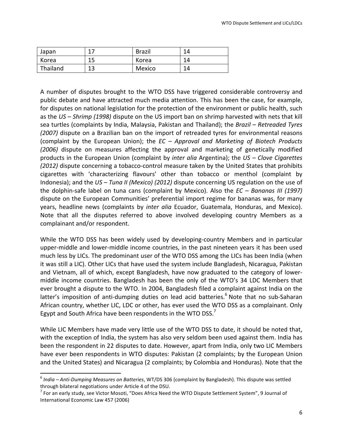| Japan    | $\sim$   | <b>Brazil</b> | 14 |
|----------|----------|---------------|----|
| Korea    | 15<br>ᅩ  | Korea         | 14 |
| Thailand | 1つ<br>⊥⊃ | Mexico        | 14 |

A number of disputes brought to the WTO DSS have triggered considerable controversy and public debate and have attracted much media attention. This has been the case, for example, for disputes on national legislation for the protection of the environment or public health, such as the *US* – *Shrimp* (1998) dispute on the US import ban on shrimp harvested with nets that kill sea turtles (complaints by India, Malaysia, Pakistan and Thailand); the *Brazil – Retreaded Tyres (2007)* dispute on a Brazilian ban on the import of retreaded tyres for environmental reasons (complaint by the European Union); the *EC* – *Approval and Marketing of Biotech Products* (2006) dispute on measures affecting the approval and marketing of genetically modified products in the European Union (complaint by *inter alia* Argentina); the *US – Clove Cigarettes (2012)* dispute concerning a tobacco-control measure taken by the United States that prohibits cigarettes with 'characterizing flavours' other than tobacco or menthol (complaint by Indonesia); and the *US* – *Tuna II (Mexico)* (2012) dispute concerning US regulation on the use of the dolphin-safe label on tuna cans (complaint by Mexico). Also the *EC* – *Bananas III* (1997) dispute on the European Communities' preferential import regime for bananas was, for many years, headline news (complaints by *inter alia* Ecuador, Guatemala, Honduras, and Mexico). Note that all the disputes referred to above involved developing country Members as a complainant and/or respondent.

While the WTO DSS has been widely used by developing-country Members and in particular upper-middle and lower-middle income countries, in the past nineteen years it has been used much less by LICs. The predominant user of the WTO DSS among the LICs has been India (when it was still a LIC). Other LICs that have used the system include Bangladesh, Nicaragua, Pakistan and Vietnam, all of which, except Bangladesh, have now graduated to the category of lowermiddle income countries. Bangladesh has been the only of the WTO's 34 LDC Members that ever brought a dispute to the WTO. In 2004, Bangladesh filed a complaint against India on the latter's imposition of anti-dumping duties on lead acid batteries.<sup>6</sup> Note that no sub-Saharan African country, whether LIC, LDC or other, has ever used the WTO DSS as a complainant. Only Egypt and South Africa have been respondents in the WTO DSS.<sup>7</sup>

While LIC Members have made very little use of the WTO DSS to date, it should be noted that, with the exception of India, the system has also very seldom been used against them. India has been the respondent in 22 disputes to date. However, apart from India, only two LIC Members have ever been respondents in WTO disputes: Pakistan (2 complaints; by the European Union and the United States) and Nicaragua (2 complaints; by Colombia and Honduras). Note that the

<sup>&</sup>lt;sup>6</sup> India – Anti-Dumping Measures on Batteries, WT/DS 306 (complaint by Bangladesh). This dispute was settled through bilateral negotiations under Article 4 of the DSU.

 $^7$  For an early study, see Victor Mosoti, "Does Africa Need the WTO Dispute Settlement System", 9 Journal of International Economic Law 457 (2006)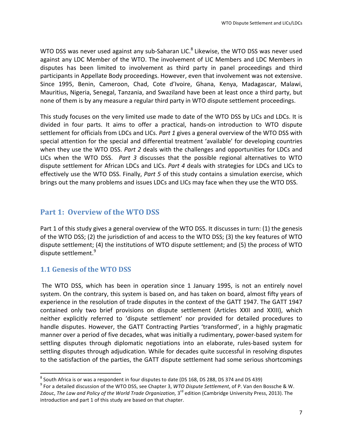WTO DSS was never used against any sub-Saharan LIC. $^8$  Likewise, the WTO DSS was never used against any LDC Member of the WTO. The involvement of LIC Members and LDC Members in disputes has been limited to involvement as third party in panel proceedings and third participants in Appellate Body proceedings. However, even that involvement was not extensive. Since 1995, Benin, Cameroon, Chad, Cote d'Ivoire, Ghana, Kenya, Madagascar, Malawi, Mauritius, Nigeria, Senegal, Tanzania, and Swaziland have been at least once a third party, but none of them is by any measure a regular third party in WTO dispute settlement proceedings.

This study focuses on the very limited use made to date of the WTO DSS by LICs and LDCs. It is divided in four parts. It aims to offer a practical, hands-on introduction to WTO dispute settlement for officials from LDCs and LICs. *Part* 1 gives a general overview of the WTO DSS with special attention for the special and differential treatment 'available' for developing countries when they use the WTO DSS. *Part 2* deals with the challenges and opportunities for LDCs and LICs when the WTO DSS. *Part 3* discusses that the possible regional alternatives to WTO dispute settlement for African LDCs and LICs. Part 4 deals with strategies for LDCs and LICs to effectively use the WTO DSS. Finally, *Part 5* of this study contains a simulation exercise, which brings out the many problems and issues LDCs and LICs may face when they use the WTO DSS.

# **Part 1: Overview of the WTO DSS**

Part 1 of this study gives a general overview of the WTO DSS. It discusses in turn: (1) the genesis of the WTO DSS; (2) the jurisdiction of and access to the WTO DSS; (3) the key features of WTO dispute settlement; (4) the institutions of WTO dispute settlement; and (5) the process of WTO dispute settlement.<sup>9</sup>

# **1.1 Genesis of the WTO DSS**

<u> 1989 - Jan Samuel Barbara, margaret e</u>

The WTO DSS, which has been in operation since 1 January 1995, is not an entirely novel system. On the contrary, this system is based on, and has taken on board, almost fifty years of experience in the resolution of trade disputes in the context of the GATT 1947. The GATT 1947 contained only two brief provisions on dispute settlement (Articles XXII and XXIII), which neither explicitly referred to 'dispute settlement' nor provided for detailed procedures to handle disputes. However, the GATT Contracting Parties 'transformed', in a highly pragmatic manner over a period of five decades, what was initially a rudimentary, power-based system for settling disputes through diplomatic negotiations into an elaborate, rules-based system for settling disputes through adjudication. While for decades quite successful in resolving disputes to the satisfaction of the parties, the GATT dispute settlement had some serious shortcomings

 $8$  South Africa is or was a respondent in four disputes to date (DS 168, DS 288, DS 374 and DS 439)

 $9$  For a detailed discussion of the WTO DSS, see Chapter 3, *WTO Dispute Settlement*, of P. Van den Bossche & W. Zdouc, *The Law and Policy of the World Trade Organization*, 3<sup>rd</sup> edition (Cambridge University Press, 2013). The introduction and part 1 of this study are based on that chapter.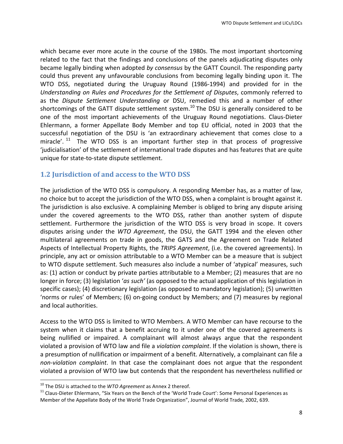which became ever more acute in the course of the 1980s. The most important shortcoming related to the fact that the findings and conclusions of the panels adjudicating disputes only became legally binding when adopted by consensus by the GATT Council. The responding party could thus prevent any unfavourable conclusions from becoming legally binding upon it. The WTO DSS, negotiated during the Uruguay Round (1986-1994) and provided for in the Understanding on Rules and Procedures for the Settlement of Disputes, commonly referred to as the Dispute Settlement Understanding or DSU, remedied this and a number of other shortcomings of the GATT dispute settlement system.<sup>10</sup> The DSU is generally considered to be one of the most important achievements of the Uruguay Round negotiations. Claus-Dieter Ehlermann, a former Appellate Body Member and top EU official, noted in 2003 that the successful negotiation of the DSU is 'an extraordinary achievement that comes close to a miracle'.  $11$  The WTO DSS is an important further step in that process of progressive 'iudicialisation' of the settlement of international trade disputes and has features that are quite unique for state-to-state dispute settlement.

# **1.2 Jurisdiction of and access to the WTO DSS**

The jurisdiction of the WTO DSS is compulsory. A responding Member has, as a matter of law, no choice but to accept the jurisdiction of the WTO DSS, when a complaint is brought against it. The jurisdiction is also exclusive. A complaining Member is obliged to bring any dispute arising under the covered agreements to the WTO DSS, rather than another system of dispute settlement. Furthermore the jurisdiction of the WTO DSS is very broad in scope. It covers disputes arising under the *WTO Agreement*, the DSU, the GATT 1994 and the eleven other multilateral agreements on trade in goods, the GATS and the Agreement on Trade Related Aspects of Intellectual Property Rights, the *TRIPS Agreement*, (i.e. the covered agreements). In principle, any act or omission attributable to a WTO Member can be a measure that is subject to WTO dispute settlement. Such measures also include a number of 'atypical' measures, such as:  $(1)$  action or conduct by private parties attributable to a Member;  $(2)$  measures that are no longer in force; (3) legislation '*as such'* (as opposed to the actual application of this legislation in specific cases); (4) discretionary legislation (as opposed to mandatory legislation); (5) unwritten 'norms or rules' of Members; (6) on-going conduct by Members; and (7) measures by regional and local authorities.

Access to the WTO DSS is limited to WTO Members. A WTO Member can have recourse to the system when it claims that a benefit accruing to it under one of the covered agreements is being nullified or impaired. A complainant will almost always argue that the respondent violated a provision of WTO law and file a *violation complaint*. If the violation is shown, there is a presumption of nullification or impairment of a benefit. Alternatively, a complainant can file a *non-violation complaint*. In that case the complainant does not argue that the respondent violated a provision of WTO law but contends that the respondent has nevertheless nullified or

<sup>&</sup>lt;sup>10</sup> The DSU is attached to the *WTO Agreement* as Annex 2 thereof.<br><sup>11</sup> Claus-Dieter Ehlermann, "Six Years on the Bench of the 'World Trade Court': Some Personal Experiences as Member of the Appellate Body of the World Trade Organization", Journal of World Trade, 2002, 639.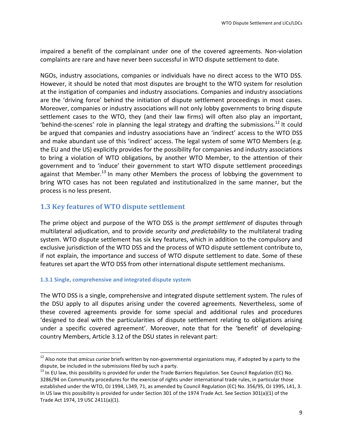impaired a benefit of the complainant under one of the covered agreements. Non-violation complaints are rare and have never been successful in WTO dispute settlement to date.

NGOs, industry associations, companies or individuals have no direct access to the WTO DSS. However, it should be noted that most disputes are brought to the WTO system for resolution at the instigation of companies and industry associations. Companies and industry associations are the 'driving force' behind the initiation of dispute settlement proceedings in most cases. Moreover, companies or industry associations will not only lobby governments to bring dispute settlement cases to the WTO, they (and their law firms) will often also play an important, 'behind-the-scenes' role in planning the legal strategy and drafting the submissions.<sup>12</sup> It could be argued that companies and industry associations have an 'indirect' access to the WTO DSS and make abundant use of this 'indirect' access. The legal system of some WTO Members (e.g. the EU and the US) explicitly provides for the possibility for companies and industry associations to bring a violation of WTO obligations, by another WTO Member, to the attention of their government and to 'induce' their government to start WTO dispute settlement proceedings against that Member.<sup>13</sup> In many other Members the process of lobbying the government to bring WTO cases has not been regulated and institutionalized in the same manner, but the process is no less present.

# **1.3 Key features of WTO dispute settlement**

The prime object and purpose of the WTO DSS is the *prompt settlement* of disputes through multilateral adjudication, and to provide *security and predictability* to the multilateral trading system. WTO dispute settlement has six key features, which in addition to the compulsory and exclusive jurisdiction of the WTO DSS and the process of WTO dispute settlement contribute to, if not explain, the importance and success of WTO dispute settlement to date. Some of these features set apart the WTO DSS from other international dispute settlement mechanisms.

#### 1.3.1 Single, comprehensive and integrated dispute system

 

The WTO DSS is a single, comprehensive and integrated dispute settlement system. The rules of the DSU apply to all disputes arising under the covered agreements. Nevertheless, some of these covered agreements provide for some special and additional rules and procedures 'designed to deal with the particularities of dispute settlement relating to obligations arising under a specific covered agreement'. Moreover, note that for the 'benefit' of developingcountry Members, Article 3.12 of the DSU states in relevant part:

<sup>&</sup>lt;sup>12</sup> Also note that *amicus curige* briefs written by non-governmental organizations may, if adopted by a party to the dispute, be included in the submissions filed by such a party.<br><sup>13</sup> In EU law, this possibility is provided for under the Trade Barriers Regulation. See Council Regulation (EC) No.

<sup>3286/94</sup> on Community procedures for the exercise of rights under international trade rules, in particular those established under the WTO, OJ 1994, L349, 71, as amended by Council Regulation (EC) No. 356/95, OJ 1995, L41, 3. In US law this possibility is provided for under Section 301 of the 1974 Trade Act. See Section  $301(a)(1)$  of the Trade Act 1974, 19 USC 2411(a)(1).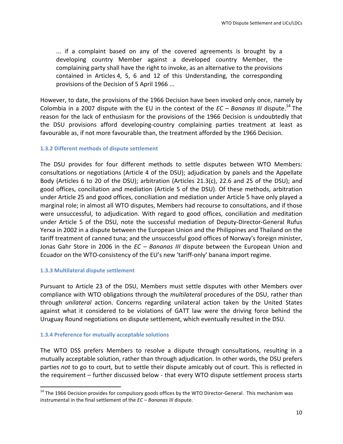$\ldots$  if a complaint based on any of the covered agreements is brought by a developing country Member against a developed country Member, the complaining party shall have the right to invoke, as an alternative to the provisions contained in Articles 4, 5, 6 and 12 of this Understanding, the corresponding provisions of the Decision of 5 April 1966 ...

However, to date, the provisions of the 1966 Decision have been invoked only once, namely by Colombia in a 2007 dispute with the EU in the context of the  $EC -$  *Bananas III* dispute.<sup>14</sup> The reason for the lack of enthusiasm for the provisions of the 1966 Decision is undoubtedly that the DSU provisions afford developing-country complaining parties treatment at least as favourable as, if not more favourable than, the treatment afforded by the 1966 Decision.

#### **1.3.2 Different methods of dispute settlement**

The DSU provides for four different methods to settle disputes between WTO Members: consultations or negotiations (Article 4 of the DSU); adjudication by panels and the Appellate Body (Articles  $6$  to 20 of the DSU); arbitration (Articles 21.3(c), 22.6 and 25 of the DSU); and good offices, conciliation and mediation (Article 5 of the DSU). Of these methods, arbitration under Article 25 and good offices, conciliation and mediation under Article 5 have only played a marginal role; in almost all WTO disputes, Members had recourse to consultations, and if those were unsuccessful, to adjudication. With regard to good offices, conciliation and meditation under Article 5 of the DSU, note the successful mediation of Deputy-Director-General Rufus Yerxa in 2002 in a dispute between the European Union and the Philippines and Thailand on the tariff treatment of canned tuna; and the unsuccessful good offices of Norway's foreign minister, Jonas Gahr Store in 2006 in the *EC* – *Bananas III* dispute between the European Union and Ecuador on the WTO-consistency of the EU's new 'tariff-only' banana import regime.

#### **1.3.3 Multilateral dispute settlement**

<u> 1989 - Jan Samuel Barbara, margaret e</u>

Pursuant to Article 23 of the DSU, Members must settle disputes with other Members over compliance with WTO obligations through the *multilateral* procedures of the DSU, rather than through *unilateral* action. Concerns regarding unilateral action taken by the United States against what it considered to be violations of GATT law were the driving force behind the Uruguay Round negotiations on dispute settlement, which eventually resulted in the DSU.

#### **1.3.4 Preference for mutually acceptable solutions**

The WTO DSS prefers Members to resolve a dispute through consultations, resulting in a mutually acceptable solution, rather than through adjudication. In other words, the DSU prefers parties not to go to court, but to settle their dispute amicably out of court. This is reflected in the requirement – further discussed below - that every WTO dispute settlement process starts

<sup>&</sup>lt;sup>14</sup> The 1966 Decision provides for compulsory goods offices by the WTO Director-General. This mechanism was instrumental in the final settlement of the  $EC$  – *Bananas III* dispute.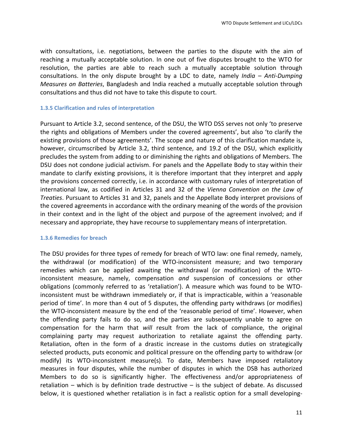with consultations, i.e. negotiations, between the parties to the dispute with the aim of reaching a mutually acceptable solution. In one out of five disputes brought to the WTO for resolution, the parties are able to reach such a mutually acceptable solution through consultations. In the only dispute brought by a LDC to date, namely *India* - Anti-Dumping *Measures* on Batteries, Bangladesh and India reached a mutually acceptable solution through consultations and thus did not have to take this dispute to court.

#### **1.3.5 Clarification and rules of interpretation**

Pursuant to Article 3.2, second sentence, of the DSU, the WTO DSS serves not only 'to preserve the rights and obligations of Members under the covered agreements', but also 'to clarify the existing provisions of those agreements'. The scope and nature of this clarification mandate is, however, circumscribed by Article 3.2, third sentence, and 19.2 of the DSU, which explicitly precludes the system from adding to or diminishing the rights and obligations of Members. The DSU does not condone judicial activism. For panels and the Appellate Body to stay within their mandate to clarify existing provisions, it is therefore important that they interpret and apply the provisions concerned correctly, i.e. in accordance with customary rules of interpretation of international law, as codified in Articles 31 and 32 of the Vienna Convention on the Law of *Treaties*. Pursuant to Articles 31 and 32, panels and the Appellate Body interpret provisions of the covered agreements in accordance with the ordinary meaning of the words of the provision in their context and in the light of the object and purpose of the agreement involved; and if necessary and appropriate, they have recourse to supplementary means of interpretation.

#### **1.3.6 Remedies for breach**

The DSU provides for three types of remedy for breach of WTO law: one final remedy, namely, the withdrawal (or modification) of the WTO-inconsistent measure; and two temporary remedies which can be applied awaiting the withdrawal (or modification) of the WTOinconsistent measure, namely, compensation and suspension of concessions or other obligations (commonly referred to as 'retaliation'). A measure which was found to be WTOinconsistent must be withdrawn immediately or, if that is impracticable, within a 'reasonable period of time'. In more than 4 out of 5 disputes, the offending party withdraws (or modifies) the WTO-inconsistent measure by the end of the 'reasonable period of time'. However, when the offending party fails to do so, and the parties are subsequently unable to agree on compensation for the harm that will result from the lack of compliance, the original complaining party may request authorization to retaliate against the offending party. Retaliation, often in the form of a drastic increase in the customs duties on strategically selected products, puts economic and political pressure on the offending party to withdraw (or modify) its WTO-inconsistent measure(s). To date, Members have imposed retaliatory measures in four disputes, while the number of disputes in which the DSB has authorized Members to do so is significantly higher. The effectiveness and/or appropriateness of retaliation  $-$  which is by definition trade destructive  $-$  is the subject of debate. As discussed below, it is questioned whether retaliation is in fact a realistic option for a small developing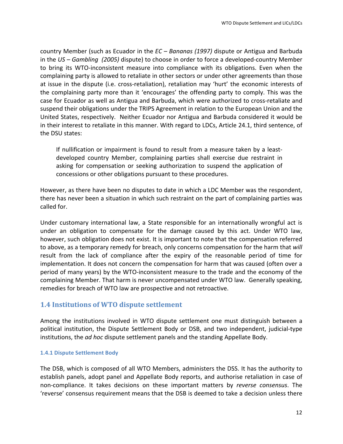country Member (such as Ecuador in the *EC – Bananas (1997)* dispute or Antigua and Barbuda in the *US* – *Gambling* (2005) dispute) to choose in order to force a developed-country Member to bring its WTO-inconsistent measure into compliance with its obligations. Even when the complaining party is allowed to retaliate in other sectors or under other agreements than those at issue in the dispute (i.e. cross-retaliation), retaliation may 'hurt' the economic interests of the complaining party more than it 'encourages' the offending party to comply. This was the case for Ecuador as well as Antigua and Barbuda, which were authorized to cross-retaliate and suspend their obligations under the TRIPS Agreement in relation to the European Union and the United States, respectively. Neither Ecuador nor Antigua and Barbuda considered it would be in their interest to retaliate in this manner. With regard to LDCs, Article 24.1, third sentence, of the DSU states:

If nullification or impairment is found to result from a measure taken by a leastdeveloped country Member, complaining parties shall exercise due restraint in asking for compensation or seeking authorization to suspend the application of concessions or other obligations pursuant to these procedures.

However, as there have been no disputes to date in which a LDC Member was the respondent, there has never been a situation in which such restraint on the part of complaining parties was called for.

Under customary international law, a State responsible for an internationally wrongful act is under an obligation to compensate for the damage caused by this act. Under WTO law, however, such obligation does not exist. It is important to note that the compensation referred to above, as a temporary remedy for breach, only concerns compensation for the harm that *will* result from the lack of compliance after the expiry of the reasonable period of time for implementation. It does not concern the compensation for harm that was caused (often over a period of many years) by the WTO-inconsistent measure to the trade and the economy of the complaining Member. That harm is never uncompensated under WTO law. Generally speaking, remedies for breach of WTO law are prospective and not retroactive.

## **1.4 Institutions of WTO dispute settlement**

Among the institutions involved in WTO dispute settlement one must distinguish between a political institution, the Dispute Settlement Body or DSB, and two independent, judicial-type institutions, the *ad hoc* dispute settlement panels and the standing Appellate Body.

#### **1.4.1 Dispute Settlement Body**

The DSB, which is composed of all WTO Members, administers the DSS. It has the authority to establish panels, adopt panel and Appellate Body reports, and authorise retaliation in case of non-compliance. It takes decisions on these important matters by *reverse consensus*. The 'reverse' consensus requirement means that the DSB is deemed to take a decision unless there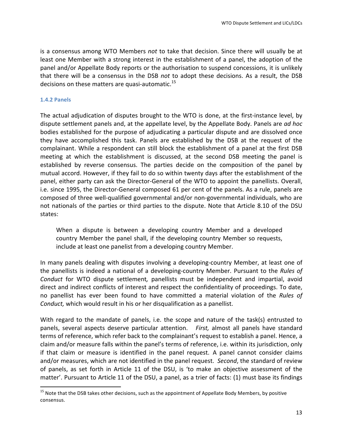is a consensus among WTO Members *not* to take that decision. Since there will usually be at least one Member with a strong interest in the establishment of a panel, the adoption of the panel and/or Appellate Body reports or the authorisation to suspend concessions, it is unlikely that there will be a consensus in the DSB not to adopt these decisions. As a result, the DSB decisions on these matters are quasi-automatic.<sup>15</sup>

#### **1.4.2 Panels**

<u> 1989 - Jan Samuel Barbara, margaret e</u>

The actual adjudication of disputes brought to the WTO is done, at the first-instance level, by dispute settlement panels and, at the appellate level, by the Appellate Body. Panels are *ad hoc* bodies established for the purpose of adjudicating a particular dispute and are dissolved once they have accomplished this task. Panels are established by the DSB at the request of the complainant. While a respondent can still block the establishment of a panel at the first DSB meeting at which the establishment is discussed, at the second DSB meeting the panel is established by reverse consensus. The parties decide on the composition of the panel by mutual accord. However, if they fail to do so within twenty days after the establishment of the panel, either party can ask the Director-General of the WTO to appoint the panellists. Overall, i.e. since 1995, the Director-General composed 61 per cent of the panels. As a rule, panels are composed of three well-qualified governmental and/or non-governmental individuals, who are not nationals of the parties or third parties to the dispute. Note that Article 8.10 of the DSU states:

When a dispute is between a developing country Member and a developed country Member the panel shall, if the developing country Member so requests, include at least one panelist from a developing country Member.

In many panels dealing with disputes involving a developing-country Member, at least one of the panellists is indeed a national of a developing-country Member. Pursuant to the Rules of *Conduct* for WTO dispute settlement, panellists must be independent and impartial, avoid direct and indirect conflicts of interest and respect the confidentiality of proceedings. To date, no panellist has ever been found to have committed a material violation of the *Rules of Conduct*, which would result in his or her disqualification as a panellist.

With regard to the mandate of panels, i.e. the scope and nature of the task(s) entrusted to panels, several aspects deserve particular attention. First, almost all panels have standard terms of reference, which refer back to the complainant's request to establish a panel. Hence, a claim and/or measure falls within the panel's terms of reference, i.e. within its jurisdiction, only if that claim or measure is identified in the panel request. A panel cannot consider claims and/or measures, which are not identified in the panel request. *Second*, the standard of review of panels, as set forth in Article 11 of the DSU, is 'to make an objective assessment of the matter'. Pursuant to Article 11 of the DSU, a panel, as a trier of facts: (1) must base its findings

 $15$  Note that the DSB takes other decisions, such as the appointment of Appellate Body Members, by positive consensus.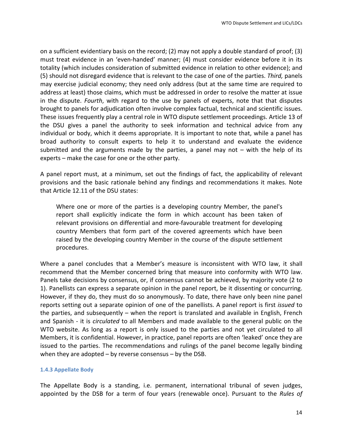on a sufficient evidentiary basis on the record; (2) may not apply a double standard of proof; (3) must treat evidence in an 'even-handed' manner; (4) must consider evidence before it in its totality (which includes consideration of submitted evidence in relation to other evidence); and (5) should not disregard evidence that is relevant to the case of one of the parties. *Third*, panels may exercise judicial economy; they need only address (but at the same time are required to address at least) those claims, which must be addressed in order to resolve the matter at issue in the dispute. *Fourth*, with regard to the use by panels of experts, note that that disputes brought to panels for adjudication often involve complex factual, technical and scientific issues. These issues frequently play a central role in WTO dispute settlement proceedings. Article 13 of the DSU gives a panel the authority to seek information and technical advice from any individual or body, which it deems appropriate. It is important to note that, while a panel has broad authority to consult experts to help it to understand and evaluate the evidence submitted and the arguments made by the parties, a panel may not  $-$  with the help of its experts  $-$  make the case for one or the other party.

A panel report must, at a minimum, set out the findings of fact, the applicability of relevant provisions and the basic rationale behind any findings and recommendations it makes. Note that Article 12.11 of the DSU states:

Where one or more of the parties is a developing country Member, the panel's report shall explicitly indicate the form in which account has been taken of relevant provisions on differential and more-favourable treatment for developing country Members that form part of the covered agreements which have been raised by the developing country Member in the course of the dispute settlement procedures.

Where a panel concludes that a Member's measure is inconsistent with WTO law, it shall recommend that the Member concerned bring that measure into conformity with WTO law. Panels take decisions by consensus, or, if consensus cannot be achieved, by majority vote (2 to 1). Panellists can express a separate opinion in the panel report, be it dissenting or concurring. However, if they do, they must do so anonymously. To date, there have only been nine panel reports setting out a separate opinion of one of the panellists. A panel report is first *issued* to the parties, and subsequently  $-$  when the report is translated and available in English, French and Spanish - it is *circulated* to all Members and made available to the general public on the WTO website. As long as a report is only issued to the parties and not yet circulated to all Members, it is confidential. However, in practice, panel reports are often 'leaked' once they are issued to the parties. The recommendations and rulings of the panel become legally binding when they are adopted  $-$  by reverse consensus  $-$  by the DSB.

#### **1.4.3 Appellate Body**

The Appellate Body is a standing, i.e. permanent, international tribunal of seven judges, appointed by the DSB for a term of four years (renewable once). Pursuant to the *Rules of*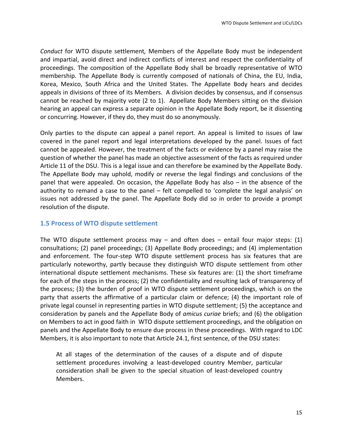*Conduct* for WTO dispute settlement, Members of the Appellate Body must be independent and impartial, avoid direct and indirect conflicts of interest and respect the confidentiality of proceedings. The composition of the Appellate Body shall be broadly representative of WTO membership. The Appellate Body is currently composed of nationals of China, the EU, India, Korea, Mexico, South Africa and the United States. The Appellate Body hears and decides appeals in divisions of three of its Members. A division decides by consensus, and if consensus cannot be reached by majority vote (2 to 1). Appellate Body Members sitting on the division hearing an appeal can express a separate opinion in the Appellate Body report, be it dissenting or concurring. However, if they do, they must do so anonymously.

Only parties to the dispute can appeal a panel report. An appeal is limited to issues of law covered in the panel report and legal interpretations developed by the panel. Issues of fact cannot be appealed. However, the treatment of the facts or evidence by a panel may raise the question of whether the panel has made an objective assessment of the facts as required under Article 11 of the DSU. This is a legal issue and can therefore be examined by the Appellate Body. The Appellate Body may uphold, modify or reverse the legal findings and conclusions of the panel that were appealed. On occasion, the Appellate Body has also  $-$  in the absence of the authority to remand a case to the panel – felt compelled to 'complete the legal analysis' on issues not addressed by the panel. The Appellate Body did so in order to provide a prompt resolution of the dispute.

#### **1.5 Process of WTO dispute settlement**

The WTO dispute settlement process may  $-$  and often does  $-$  entail four major steps: (1) consultations; (2) panel proceedings; (3) Appellate Body proceedings; and (4) implementation and enforcement. The four-step WTO dispute settlement process has six features that are particularly noteworthy, partly because they distinguish WTO dispute settlement from other international dispute settlement mechanisms. These six features are: (1) the short timeframe for each of the steps in the process; (2) the confidentiality and resulting lack of transparency of the process; (3) the burden of proof in WTO dispute settlement proceedings, which is on the party that asserts the affirmative of a particular claim or defence; (4) the important role of private legal counsel in representing parties in WTO dispute settlement; (5) the acceptance and consideration by panels and the Appellate Body of *amicus curiae* briefs; and (6) the obligation on Members to act in good faith in WTO dispute settlement proceedings, and the obligation on panels and the Appellate Body to ensure due process in these proceedings. With regard to LDC Members, it is also important to note that Article 24.1, first sentence, of the DSU states:

At all stages of the determination of the causes of a dispute and of dispute settlement procedures involving a least-developed country Member, particular consideration shall be given to the special situation of least-developed country Members.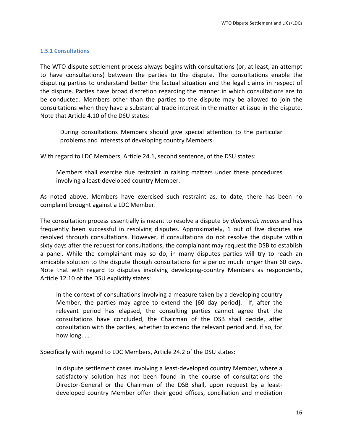#### **1.5.1 Consultations**

The WTO dispute settlement process always begins with consultations (or, at least, an attempt to have consultations) between the parties to the dispute. The consultations enable the disputing parties to understand better the factual situation and the legal claims in respect of the dispute. Parties have broad discretion regarding the manner in which consultations are to be conducted. Members other than the parties to the dispute may be allowed to join the consultations when they have a substantial trade interest in the matter at issue in the dispute. Note that Article 4.10 of the DSU states:

During consultations Members should give special attention to the particular problems and interests of developing country Members.

With regard to LDC Members, Article 24.1, second sentence, of the DSU states:

Members shall exercise due restraint in raising matters under these procedures involving a least-developed country Member.

As noted above, Members have exercised such restraint as, to date, there has been no complaint brought against a LDC Member.

The consultation process essentially is meant to resolve a dispute by *diplomatic means* and has frequently been successful in resolving disputes. Approximately, 1 out of five disputes are resolved through consultations. However, if consultations do not resolve the dispute within sixty days after the request for consultations, the complainant may request the DSB to establish a panel. While the complainant may so do, in many disputes parties will try to reach an amicable solution to the dispute though consultations for a period much longer than 60 days. Note that with regard to disputes involving developing-country Members as respondents, Article 12.10 of the DSU explicitly states:

In the context of consultations involving a measure taken by a developing country Member, the parties may agree to extend the  $[60 \text{ day period}]$ . If, after the relevant period has elapsed, the consulting parties cannot agree that the consultations have concluded, the Chairman of the DSB shall decide, after consultation with the parties, whether to extend the relevant period and, if so, for how long...

Specifically with regard to LDC Members, Article 24.2 of the DSU states:

In dispute settlement cases involving a least-developed country Member, where a satisfactory solution has not been found in the course of consultations the Director-General or the Chairman of the DSB shall, upon request by a leastdeveloped country Member offer their good offices, conciliation and mediation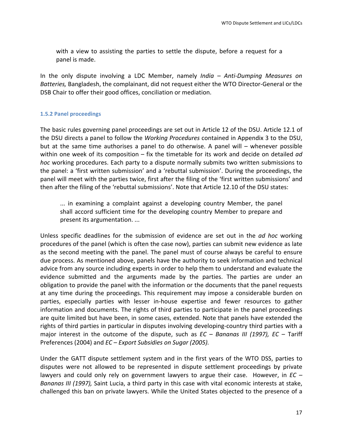with a view to assisting the parties to settle the dispute, before a request for a panel is made.

In the only dispute involving a LDC Member, namely *India* – Anti-Dumping Measures on *Batteries*, Bangladesh, the complainant, did not request either the WTO Director-General or the DSB Chair to offer their good offices, conciliation or mediation.

#### **1.5.2 Panel proceedings**

The basic rules governing panel proceedings are set out in Article 12 of the DSU. Article 12.1 of the DSU directs a panel to follow the *Working Procedures* contained in Appendix 3 to the DSU, but at the same time authorises a panel to do otherwise. A panel will  $-$  whenever possible within one week of its composition – fix the timetable for its work and decide on detailed ad *hoc* working procedures. Each party to a dispute normally submits two written submissions to the panel: a 'first written submission' and a 'rebuttal submission'. During the proceedings, the panel will meet with the parties twice, first after the filing of the 'first written submissions' and then after the filing of the 'rebuttal submissions'. Note that Article 12.10 of the DSU states:

... in examining a complaint against a developing country Member, the panel shall accord sufficient time for the developing country Member to prepare and present its argumentation. ...

Unless specific deadlines for the submission of evidence are set out in the *ad hoc* working procedures of the panel (which is often the case now), parties can submit new evidence as late as the second meeting with the panel. The panel must of course always be careful to ensure due process. As mentioned above, panels have the authority to seek information and technical advice from any source including experts in order to help them to understand and evaluate the evidence submitted and the arguments made by the parties. The parties are under an obligation to provide the panel with the information or the documents that the panel requests at any time during the proceedings. This requirement may impose a considerable burden on parties, especially parties with lesser in-house expertise and fewer resources to gather information and documents. The rights of third parties to participate in the panel proceedings are quite limited but have been, in some cases, extended. Note that panels have extended the rights of third parties in particular in disputes involving developing-country third parties with a major interest in the outcome of the dispute, such as *EC* – *Bananas III* (1997), *EC* – Tariff Preferences (2004) and *EC* – *Export Subsidies on Sugar (2005).* 

Under the GATT dispute settlement system and in the first years of the WTO DSS, parties to disputes were not allowed to be represented in dispute settlement proceedings by private lawyers and could only rely on government lawyers to argue their case. However, in *EC* – *Bananas III* (1997), Saint Lucia, a third party in this case with vital economic interests at stake, challenged this ban on private lawyers. While the United States objected to the presence of a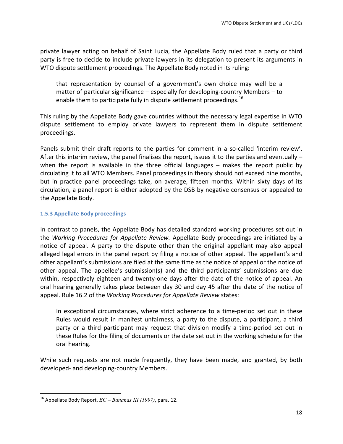private lawyer acting on behalf of Saint Lucia, the Appellate Body ruled that a party or third party is free to decide to include private lawyers in its delegation to present its arguments in WTO dispute settlement proceedings. The Appellate Body noted in its ruling:

that representation by counsel of a government's own choice may well be a matter of particular significance  $-$  especially for developing-country Members  $-$  to enable them to participate fully in dispute settlement proceedings.  $^{16}$ 

This ruling by the Appellate Body gave countries without the necessary legal expertise in WTO dispute settlement to employ private lawyers to represent them in dispute settlement proceedings.

Panels submit their draft reports to the parties for comment in a so-called 'interim review'. After this interim review, the panel finalises the report, issues it to the parties and eventually  $$ when the report is available in the three official languages  $-$  makes the report public by circulating it to all WTO Members. Panel proceedings in theory should not exceed nine months, but in practice panel proceedings take, on average, fifteen months. Within sixty days of its circulation, a panel report is either adopted by the DSB by negative consensus or appealed to the Appellate Body.

#### **1.5.3 Appellate Body proceedings**

In contrast to panels, the Appellate Body has detailed standard working procedures set out in the *Working Procedures for Appellate Review*. Appellate Body proceedings are initiated by a notice of appeal. A party to the dispute other than the original appellant may also appeal alleged legal errors in the panel report by filing a notice of other appeal. The appellant's and other appellant's submissions are filed at the same time as the notice of appeal or the notice of other appeal. The appellee's submission(s) and the third participants' submissions are due within, respectively eighteen and twenty-one days after the date of the notice of appeal. An oral hearing generally takes place between day 30 and day 45 after the date of the notice of appeal. Rule 16.2 of the *Working Procedures for Appellate Review* states:

In exceptional circumstances, where strict adherence to a time-period set out in these Rules would result in manifest unfairness, a party to the dispute, a participant, a third party or a third participant may request that division modify a time-period set out in these Rules for the filing of documents or the date set out in the working schedule for the oral hearing.

While such requests are not made frequently, they have been made, and granted, by both developed- and developing-country Members.

<sup>&</sup>lt;sup>16</sup> Appellate Body Report,  $EC - Bananas III$  (1997), para. 12.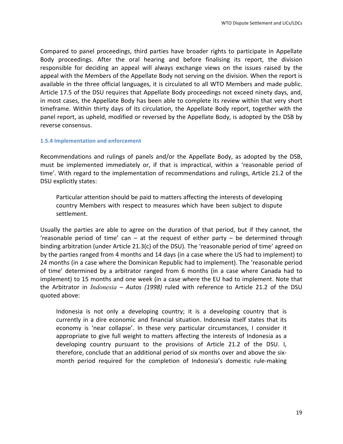Compared to panel proceedings, third parties have broader rights to participate in Appellate Body proceedings. After the oral hearing and before finalising its report, the division responsible for deciding an appeal will always exchange views on the issues raised by the appeal with the Members of the Appellate Body not serving on the division. When the report is available in the three official languages, it is circulated to all WTO Members and made public. Article 17.5 of the DSU requires that Appellate Body proceedings not exceed ninety days, and, in most cases, the Appellate Body has been able to complete its review within that very short timeframe. Within thirty days of its circulation, the Appellate Body report, together with the panel report, as upheld, modified or reversed by the Appellate Body, is adopted by the DSB by reverse consensus.

#### **1.5.4 Implementation and enforcement**

Recommendations and rulings of panels and/or the Appellate Body, as adopted by the DSB, must be implemented immediately or, if that is impractical, within a 'reasonable period of time'. With regard to the implementation of recommendations and rulings, Article 21.2 of the DSU explicitly states:

Particular attention should be paid to matters affecting the interests of developing country Members with respect to measures which have been subject to dispute settlement.

Usually the parties are able to agree on the duration of that period, but if they cannot, the 'reasonable period of time' can  $-$  at the request of either party  $-$  be determined through binding arbitration (under Article 21.3(c) of the DSU). The 'reasonable period of time' agreed on by the parties ranged from 4 months and 14 days (in a case where the US had to implement) to 24 months (in a case where the Dominican Republic had to implement). The 'reasonable period of time' determined by a arbitrator ranged from 6 months (in a case where Canada had to implement) to 15 months and one week (in a case where the EU had to implement. Note that the Arbitrator in *Indonesia - Autos (1998)* ruled with reference to Article 21.2 of the DSU quoted above:

Indonesia is not only a developing country; it is a developing country that is currently in a dire economic and financial situation. Indonesia itself states that its economy is 'near collapse'. In these very particular circumstances, I consider it appropriate to give full weight to matters affecting the interests of Indonesia as a developing country pursuant to the provisions of Article 21.2 of the DSU. I, therefore, conclude that an additional period of six months over and above the sixmonth period required for the completion of Indonesia's domestic rule-making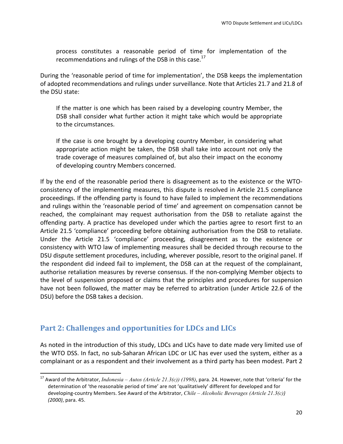process constitutes a reasonable period of time for implementation of the recommendations and rulings of the DSB in this case.<sup>17</sup>

During the 'reasonable period of time for implementation', the DSB keeps the implementation of adopted recommendations and rulings under surveillance. Note that Articles 21.7 and 21.8 of the DSU state:

If the matter is one which has been raised by a developing country Member, the DSB shall consider what further action it might take which would be appropriate to the circumstances.

If the case is one brought by a developing country Member, in considering what appropriate action might be taken, the DSB shall take into account not only the trade coverage of measures complained of, but also their impact on the economy of developing country Members concerned.

If by the end of the reasonable period there is disagreement as to the existence or the WTOconsistency of the implementing measures, this dispute is resolved in Article 21.5 compliance proceedings. If the offending party is found to have failed to implement the recommendations and rulings within the 'reasonable period of time' and agreement on compensation cannot be reached, the complainant may request authorisation from the DSB to retaliate against the offending party. A practice has developed under which the parties agree to resort first to an Article 21.5 'compliance' proceeding before obtaining authorisation from the DSB to retaliate. Under the Article 21.5 'compliance' proceeding, disagreement as to the existence or consistency with WTO law of implementing measures shall be decided through recourse to the DSU dispute settlement procedures, including, wherever possible, resort to the original panel. If the respondent did indeed fail to implement, the DSB can at the request of the complainant, authorise retaliation measures by reverse consensus. If the non-complying Member objects to the level of suspension proposed or claims that the principles and procedures for suspension have not been followed, the matter may be referred to arbitration (under Article 22.6 of the DSU) before the DSB takes a decision.

# **Part 2: Challenges and opportunities for LDCs and LICs**

<u> 1989 - Jan Samuel Barbara, margaret e</u>

As noted in the introduction of this study, LDCs and LICs have to date made very limited use of the WTO DSS. In fact, no sub-Saharan African LDC or LIC has ever used the system, either as a complainant or as a respondent and their involvement as a third party has been modest. Part 2

<sup>&</sup>lt;sup>17</sup> Award of the Arbitrator, *Indonesia – Autos (Article 21.3(c))* (1998), para. 24. However, note that 'criteria' for the determination of 'the reasonable period of time' are not 'qualitatively' different for developed and for developing-country Members. See Award of the Arbitrator, *Chile – Alcoholic Beverages (Article 21.3(c)*) *(2000)*, para. 45.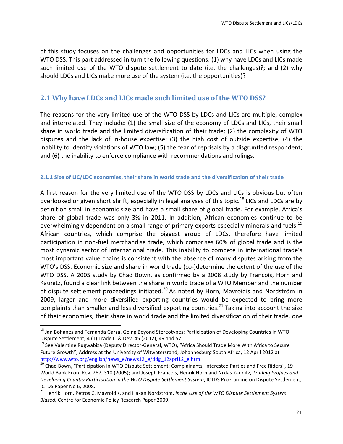of this study focuses on the challenges and opportunities for LDCs and LICs when using the WTO DSS. This part addressed in turn the following questions: (1) why have LDCs and LICs made such limited use of the WTO dispute settlement to date (i.e. the challenges)?; and (2) why should LDCs and LICs make more use of the system (i.e. the opportunities)?

# **2.1 Why have LDCs and LICs made such limited use of the WTO DSS?**

The reasons for the very limited use of the WTO DSS by LDCs and LICs are multiple, complex and interrelated. They include: (1) the small size of the economy of LDCs and LICs, their small share in world trade and the limited diversification of their trade; (2) the complexity of WTO disputes and the lack of in-house expertise;  $(3)$  the high cost of outside expertise;  $(4)$  the inability to identify violations of WTO law; (5) the fear of reprisals by a disgruntled respondent; and (6) the inability to enforce compliance with recommendations and rulings.

#### **2.1.1 Size of LIC/LDC economies, their share in world trade and the diversification of their trade**

A first reason for the very limited use of the WTO DSS by LDCs and LICs is obvious but often overlooked or given short shrift, especially in legal analyses of this topic.<sup>18</sup> LICs and LDCs are by definition small in economic size and have a small share of global trade. For example, Africa's share of global trade was only 3% in 2011. In addition, African economies continue to be overwhelmingly dependent on a small range of primary exports especially minerals and fuels.<sup>19</sup> African countries, which comprise the biggest group of LDCs, therefore have limited participation in non-fuel merchandise trade, which comprises 60% of global trade and is the most dynamic sector of international trade. This inability to compete in international trade's most important value chains is consistent with the absence of many disputes arising from the WTO's DSS. Economic size and share in world trade (co-)determine the extent of the use of the WTO DSS. A 2005 study by Chad Bown, as confirmed by a 2008 study by Francois, Horn and Kaunitz, found a clear link between the share in world trade of a WTO Member and the number of dispute settlement proceedings initiated.<sup>20</sup> As noted by Horn, Mavroidis and Nordström in 2009, larger and more diversified exporting countries would be expected to bring more complaints than smaller and less diversified exporting countries.<sup>21</sup> Taking into account the size of their economies, their share in world trade and the limited diversification of their trade, one

 

 $18$  Jan Bohanes and Fernanda Garza, Going Beyond Stereotypes: Participation of Developing Countries in WTO

Dispute Settlement, 4 (1) Trade L. & Dev. 45 (2012), 49 and 57.<br><sup>19</sup> See Valentine Rugwabiza (Deputy Director-General, WTO), "Africa Should Trade More With Africa to Secure Future Growth", Address at the University of Witwatersrand, Johannesburg South Africa, 12 April 2012 at http://www.wto.org/english/news\_e/news12\_e/ddg\_12aprl12\_e.htm

 $20$  Chad Bown, "Participation in WTO Dispute Settlement: Complainants, Interested Parties and Free Riders", 19 World Bank Econ. Rev. 287, 310 (2005); and Joseph Francois, Henrik Horn and Niklas Kaunitz, Trading Profiles and *Developing Country Participation in the WTO Dispute Settlement System*, ICTDS Programme on Dispute Settlement, ICTDS Paper No 6, 2008.

<sup>&</sup>lt;sup>21</sup> Henrik Horn, Petros C. Mavroidis, and Hakan Nordström, *Is the Use of the WTO Dispute Settlement System Biased,* Centre for Economic Policy Research Paper 2009.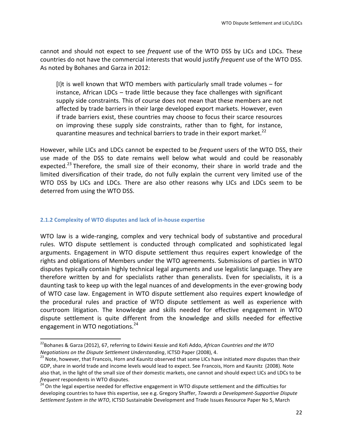cannot and should not expect to see *frequent* use of the WTO DSS by LICs and LDCs. These countries do not have the commercial interests that would justify *frequent* use of the WTO DSS. As noted by Bohanes and Garza in 2012:

 $[1]$ t is well known that WTO members with particularly small trade volumes – for  $instance$ , African LDCs – trade little because they face challenges with significant supply side constraints. This of course does not mean that these members are not affected by trade barriers in their large developed export markets. However, even if trade barriers exist, these countries may choose to focus their scarce resources on improving these supply side constraints, rather than to fight, for instance, quarantine measures and technical barriers to trade in their export market.<sup>22</sup>

However, while LICs and LDCs cannot be expected to be *frequent* users of the WTO DSS, their use made of the DSS to date remains well below what would and could be reasonably expected.<sup>23</sup> Therefore, the small size of their economy, their share in world trade and the limited diversification of their trade, do not fully explain the current very limited use of the WTO DSS by LICs and LDCs. There are also other reasons why LICs and LDCs seem to be deterred from using the WTO DSS.

#### **2.1.2 Complexity of WTO disputes and lack of in-house expertise**

<u> 1989 - Jan Samuel Barbara, margaret e</u>

WTO law is a wide-ranging, complex and very technical body of substantive and procedural rules. WTO dispute settlement is conducted through complicated and sophisticated legal arguments. Engagement in WTO dispute settlement thus requires expert knowledge of the rights and obligations of Members under the WTO agreements. Submissions of parties in WTO disputes typically contain highly technical legal arguments and use legalistic language. They are therefore written by and for specialists rather than generalists. Even for specialists, it is a daunting task to keep up with the legal nuances of and developments in the ever-growing body of WTO case law. Engagement in WTO dispute settlement also requires expert knowledge of the procedural rules and practice of WTO dispute settlement as well as experience with courtroom litigation. The knowledge and skills needed for effective engagement in WTO dispute settlement is quite different from the knowledge and skills needed for effective engagement in WTO negotiations.<sup>24</sup>

<sup>&</sup>lt;sup>22</sup>Bohanes & Garza (2012), 67, referring to Edwini Kessie and Kofi Addo, African Countries and the WTO *Negotiations on the Dispute Settlement Understanding*, ICTSD Paper (2008), 4.<br><sup>23</sup> Note, however, that Francois, Horn and Kaunitz observed that some LICs have initiated *more* disputes than their

GDP, share in world trade and income levels would lead to expect. See Francois, Horn and Kaunitz (2008). Note also that, in the light of the small size of their domestic markets, one cannot and should expect LICs and LDCs to be *frequent* respondents in WTO disputes.<br><sup>24</sup> On the legal expertise needed for effective engagement in WTO dispute settlement and the difficulties for

developing countries to have this expertise, see e.g. Gregory Shaffer, *Towards a Development-Supportive Dispute* Settlement System in the WTO, ICTSD Sustainable Development and Trade Issues Resource Paper No 5, March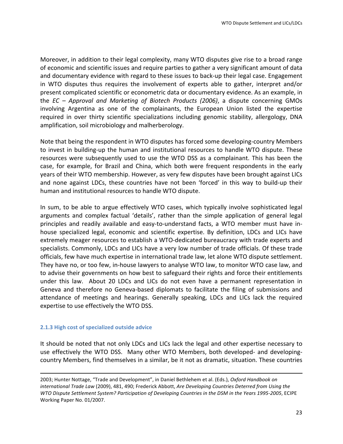Moreover, in addition to their legal complexity, many WTO disputes give rise to a broad range of economic and scientific issues and require parties to gather a very significant amount of data and documentary evidence with regard to these issues to back-up their legal case. Engagement in WTO disputes thus requires the involvement of experts able to gather, interpret and/or present complicated scientific or econometric data or documentary evidence. As an example, in the *EC* – *Approval and Marketing of Biotech Products (2006)*, a dispute concerning GMOs involving Argentina as one of the complainants, the European Union listed the expertise required in over thirty scientific specializations including genomic stability, allergology, DNA amplification, soil microbiology and malherberology.

Note that being the respondent in WTO disputes has forced some developing-country Members to invest in building-up the human and institutional resources to handle WTO dispute. These resources were subsequently used to use the WTO DSS as a complainant. This has been the case, for example, for Brazil and China, which both were frequent respondents in the early years of their WTO membership. However, as very few disputes have been brought against LICs and none against LDCs, these countries have not been 'forced' in this way to build-up their human and institutional resources to handle WTO dispute.

In sum, to be able to argue effectively WTO cases, which typically involve sophisticated legal arguments and complex factual 'details', rather than the simple application of general legal principles and readily available and easy-to-understand facts, a WTO member must have inhouse specialized legal, economic and scientific expertise. By definition, LDCs and LICs have extremely meager resources to establish a WTO-dedicated bureaucracy with trade experts and specialists. Commonly, LDCs and LICs have a very low number of trade officials. Of these trade officials, few have much expertise in international trade law, let alone WTO dispute settlement. They have no, or too few, in-house lawyers to analyse WTO law, to monitor WTO case law, and to advise their governments on how best to safeguard their rights and force their entitlements under this law. About 20 LDCs and LICs do not even have a permanent representation in Geneva and therefore no Geneva-based diplomats to facilitate the filing of submissions and attendance of meetings and hearings. Generally speaking, LDCs and LICs lack the required expertise to use effectively the WTO DSS.

#### **2.1.3 High cost of specialized outside advice**

It should be noted that not only LDCs and LICs lack the legal and other expertise necessary to use effectively the WTO DSS. Many other WTO Members, both developed- and developingcountry Members, find themselves in a similar, be it not as dramatic, situation. These countries

<u> 1989 - Andrea Santa Andrea Andrea Andrea Andrea Andrea Andrea Andrea Andrea Andrea Andrea Andrea Andrea Andr</u>

<sup>2003;</sup> Hunter Nottage, "Trade and Development", in Daniel Bethlehem et al. (Eds.), *Oxford Handbook on* international Trade Law (2009), 481, 490; Frederick Abbott, *Are Developing Countries Deterred from Using the WTO* Dispute Settlement System? Participation of Developing Countries in the DSM in the Years 1995-2005, ECIPE Working Paper No. 01/2007.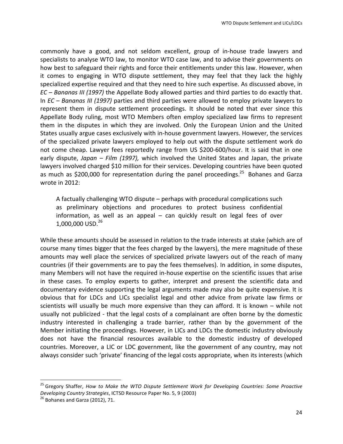commonly have a good, and not seldom excellent, group of in-house trade lawyers and specialists to analyse WTO law, to monitor WTO case law, and to advise their governments on how best to safeguard their rights and force their entitlements under this law. However, when it comes to engaging in WTO dispute settlement, they may feel that they lack the highly specialized expertise required and that they need to hire such expertise. As discussed above, in *EC* – *Bananas III* (1997) the Appellate Body allowed parties and third parties to do exactly that. In *EC* – *Bananas III* (1997) parties and third parties were allowed to employ private lawyers to represent them in dispute settlement proceedings. It should be noted that ever since this Appellate Body ruling, most WTO Members often employ specialized law firms to represent them in the disputes in which they are involved. Only the European Union and the United States usually argue cases exclusively with in-house government lawyers. However, the services of the specialized private lawyers employed to help out with the dispute settlement work do not come cheap. Lawyer fees reportedly range from US \$200-600/hour. It is said that in one early dispute, *Japan – Film (1997)*, which involved the United States and Japan, the private lawyers involved charged \$10 million for their services. Developing countries have been quoted as much as \$200,000 for representation during the panel proceedings.<sup>25</sup> Bohanes and Garza wrote in 2012:

A factually challenging WTO dispute – perhaps with procedural complications such as preliminary objections and procedures to protect business confidential information, as well as an appeal  $-$  can quickly result on legal fees of over  $1,000,000$  USD.<sup>26</sup>

While these amounts should be assessed in relation to the trade interests at stake (which are of course many times bigger that the fees charged by the lawyers), the mere magnitude of these amounts may well place the services of specialized private lawyers out of the reach of many countries (if their governments are to pay the fees themselves). In addition, in some disputes, many Members will not have the required in-house expertise on the scientific issues that arise in these cases. To employ experts to gather, interpret and present the scientific data and documentary evidence supporting the legal arguments made may also be quite expensive. It is obvious that for LDCs and LICs specialist legal and other advice from private law firms or scientists will usually be much more expensive than they can afford. It is known  $-$  while not usually not publicized - that the legal costs of a complainant are often borne by the domestic industry interested in challenging a trade barrier, rather than by the government of the Member initiating the proceedings. However, in LICs and LDCs the domestic industry obviously does not have the financial resources available to the domestic industry of developed countries. Moreover, a LIC or LDC government, like the government of any country, may not always consider such 'private' financing of the legal costs appropriate, when its interests (which

<sup>&</sup>lt;sup>25</sup> Gregory Shaffer, *How to Make the WTO Dispute Settlement Work for Developing Countries: Some Proactive Developing Country Strategies*, ICTSD Resource Paper No. 5, 9 (2003) <sup>26</sup> Bohanes and Garza (2012), 71.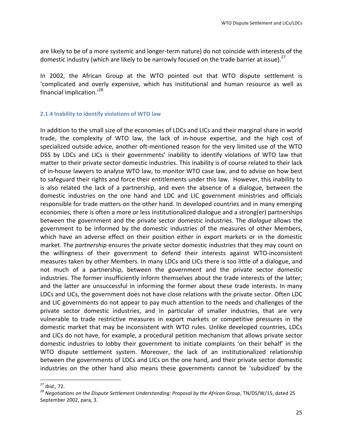are likely to be of a more systemic and longer-term nature) do not coincide with interests of the domestic industry (which are likely to be narrowly focused on the trade barrier at issue).<sup>27</sup>

In 2002, the African Group at the WTO pointed out that WTO dispute settlement is 'complicated and overly expensive, which has institutional and human resource as well as financial implication.'<sup>28</sup>

#### **2.1.4 Inability to identify violations of WTO law**

In addition to the small size of the economies of LDCs and LICs and their marginal share in world trade, the complexity of WTO law, the lack of in-house expertise, and the high cost of specialized outside advice, another oft-mentioned reason for the very limited use of the WTO DSS by LDCs and LICs is their governments' inability to identify violations of WTO law that matter to their private sector domestic industries. This inability is of course related to their lack of in-house lawyers to analyse WTO law, to monitor WTO case law, and to advise on how best to safeguard their rights and force their entitlements under this law. However, this inability to is also related the lack of a partnership, and even the absence of a dialogue, between the domestic industries on the one hand and LDC and LIC government ministries and officials responsible for trade matters on the other hand. In developed countries and in many emerging economies, there is often a more or less institutionalized dialogue and a strong(er) partnerships between the government and the private sector domestic industries. The *dialogue* allows the government to be informed by the domestic industries of the measures of other Members, which have an adverse effect on their position either in export markets or in the domestic market. The *partnership* ensures the private sector domestic industries that they may count on the willingness of their government to defend their interests against WTO-inconsistent measures taken by other Members. In many LDCs and LICs there is too little of a dialogue, and not much of a partnership, between the government and the private sector domestic industries. The former insufficiently inform themselves about the trade interests of the latter; and the latter are unsuccessful in informing the former about these trade interests. In many LDCs and LICs, the government does not have close relations with the private sector. Often LDC and LIC governments do not appear to pay much attention to the needs and challenges of the private sector domestic industries, and in particular of smaller industries, that are very vulnerable to trade restrictive measures in export markets or competitive pressures in the domestic market that may be inconsistent with WTO rules. Unlike developed countries, LDCs and LICs do not have, for example, a procedural petition mechanism that allows private sector domestic industries to lobby their government to initiate complaints 'on their behalf' in the WTO dispute settlement system. Moreover, the lack of an institutionalized relationship between the governments of LDCs and LICs on the one hand, and their private sector domestic industries on the other hand also means these governments cannot be 'subsidized' by the

<sup>&</sup>lt;sup>27</sup> Ibid., 72.<br><sup>28</sup> Negotiations on the Dispute Settlement Understanding: Proposal by the African Group, TN/DS/W/15, dated 25 September 2002, para, 3.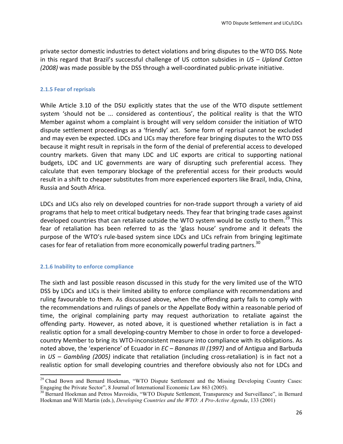private sector domestic industries to detect violations and bring disputes to the WTO DSS. Note in this regard that Brazil's successful challenge of US cotton subsidies in *US* – *Upland Cotton (2008)* was made possible by the DSS through a well-coordinated public-private initiative.

#### **2.1.5 Fear of reprisals**

While Article 3.10 of the DSU explicitly states that the use of the WTO dispute settlement system 'should not be ... considered as contentious', the political reality is that the WTO Member against whom a complaint is brought will very seldom consider the initiation of WTO dispute settlement proceedings as a 'friendly' act. Some form of reprisal cannot be excluded and may even be expected. LDCs and LICs may therefore fear bringing disputes to the WTO DSS because it might result in reprisals in the form of the denial of preferential access to developed country markets. Given that many LDC and LIC exports are critical to supporting national budgets, LDC and LIC governments are wary of disrupting such preferential access. They calculate that even temporary blockage of the preferential access for their products would result in a shift to cheaper substitutes from more experienced exporters like Brazil, India, China, Russia and South Africa. 

LDCs and LICs also rely on developed countries for non-trade support through a variety of aid programs that help to meet critical budgetary needs. They fear that bringing trade cases against developed countries that can retaliate outside the WTO system would be costly to them.<sup>29</sup> This fear of retaliation has been referred to as the 'glass house' syndrome and it defeats the purpose of the WTO's rule-based system since LDCs and LICs refrain from bringing legitimate cases for fear of retaliation from more economically powerful trading partners.<sup>30</sup>

#### **2.1.6 Inability to enforce compliance**

 

The sixth and last possible reason discussed in this study for the very limited use of the WTO DSS by LDCs and LICs is their limited ability to enforce compliance with recommendations and ruling favourable to them. As discussed above, when the offending party fails to comply with the recommendations and rulings of panels or the Appellate Body within a reasonable period of time, the original complaining party may request authorization to retaliate against the offending party. However, as noted above, it is questioned whether retaliation is in fact a realistic option for a small developing-country Member to chose in order to force a developedcountry Member to bring its WTO-inconsistent measure into compliance with its obligations. As noted above, the 'experience' of Ecuador in *EC* – *Bananas III* (1997) and of Antigua and Barbuda in *US* – *Gambling* (2005) indicate that retaliation (including cross-retaliation) is in fact not a realistic option for small developing countries and therefore obviously also not for LDCs and

<sup>&</sup>lt;sup>29</sup> Chad Bown and Bernard Hoekman, "WTO Dispute Settlement and the Missing Developing Country Cases: Engaging the Private Sector", 8 Journal of International Economic Law 863 (2005).

<sup>&</sup>lt;sup>30</sup> Bernard Hoekman and Petros Mavroidis, "WTO Dispute Settlement, Transparency and Surveillance", in Bernard Hoekman and Will Martin (eds.), *Developing Countries and the WTO: A Pro-Active Agenda*, 133 (2001)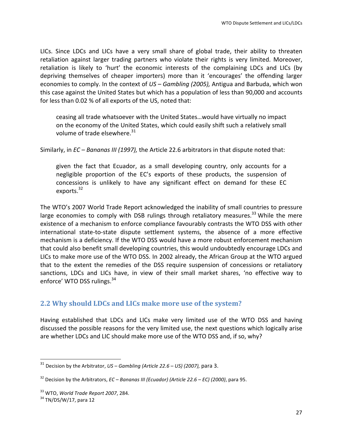LICs. Since LDCs and LICs have a very small share of global trade, their ability to threaten retaliation against larger trading partners who violate their rights is very limited. Moreover, retaliation is likely to 'hurt' the economic interests of the complaining LDCs and LICs (by depriving themselves of cheaper importers) more than it 'encourages' the offending larger economies to comply. In the context of *US – Gambling (2005)*, Antigua and Barbuda, which won this case against the United States but which has a population of less than 90,000 and accounts for less than 0.02 % of all exports of the US, noted that:

ceasing all trade whatsoever with the United States...would have virtually no impact on the economy of the United States, which could easily shift such a relatively small volume of trade elsewhere. $31$ 

Similarly, in *EC* – *Bananas III* (1997), the Article 22.6 arbitrators in that dispute noted that:

given the fact that Ecuador, as a small developing country, only accounts for a negligible proportion of the  $EC's$  exports of these products, the suspension of concessions is unlikely to have any significant effect on demand for these EC exports. $32$ 

The WTO's 2007 World Trade Report acknowledged the inability of small countries to pressure large economies to comply with DSB rulings through retaliatory measures.<sup>33</sup> While the mere existence of a mechanism to enforce compliance favourably contrasts the WTO DSS with other international state-to-state dispute settlement systems, the absence of a more effective mechanism is a deficiency. If the WTO DSS would have a more robust enforcement mechanism that could also benefit small developing countries, this would undoubtedly encourage LDCs and LICs to make more use of the WTO DSS. In 2002 already, the African Group at the WTO argued that to the extent the remedies of the DSS require suspension of concessions or retaliatory sanctions, LDCs and LICs have, in view of their small market shares, 'no effective way to enforce' WTO DSS rulings.<sup>34</sup>

## **2.2** Why should LDCs and LICs make more use of the system?

Having established that LDCs and LICs make very limited use of the WTO DSS and having discussed the possible reasons for the very limited use, the next questions which logically arise are whether LDCs and LIC should make more use of the WTO DSS and, if so, why?

<sup>&</sup>lt;sup>31</sup> Decision by the Arbitrator, *US* – *Gambling* (Article 22.6 – *US*) (2007), para 3.

<sup>&</sup>lt;sup>32</sup> Decision by the Arbitrators, *EC* – *Bananas III (Ecuador)* (Article 22.6 – *EC)* (2000), para 95.

<sup>&</sup>lt;sup>33</sup> WTO, *World Trade Report 2007*, 284.<br><sup>34</sup> TN/DS/W/17, para 12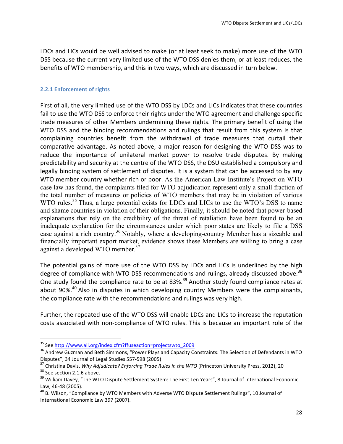LDCs and LICs would be well advised to make (or at least seek to make) more use of the WTO DSS because the current very limited use of the WTO DSS denies them, or at least reduces, the benefits of WTO membership, and this in two ways, which are discussed in turn below.

#### **2.2.1 Enforcement of rights**

First of all, the very limited use of the WTO DSS by LDCs and LICs indicates that these countries fail to use the WTO DSS to enforce their rights under the WTO agreement and challenge specific trade measures of other Members undermining these rights. The primary benefit of using the WTO DSS and the binding recommendations and rulings that result from this system is that complaining countries benefit from the withdrawal of trade measures that curtail their comparative advantage. As noted above, a major reason for designing the WTO DSS was to reduce the importance of unilateral market power to resolve trade disputes. By making predictability and security at the centre of the WTO DSS, the DSU established a compulsory and legally binding system of settlement of disputes. It is a system that can be accessed to by any WTO member country whether rich or poor. As the American Law Institute's Project on WTO case law has found, the complaints filed for WTO adjudication represent only a small fraction of the total number of measures or policies of WTO members that may be in violation of various WTO rules.<sup>35</sup> Thus, a large potential exists for LDCs and LICs to use the WTO's DSS to name and shame countries in violation of their obligations. Finally, it should be noted that power-based explanations that rely on the credibility of the threat of retaliation have been found to be an inadequate explanation for the circumstances under which poor states are likely to file a DSS case against a rich country.<sup>36</sup> Notably, where a developing-country Member has a sizeable and financially important export market, evidence shows these Members are willing to bring a case against a developed WTO member.<sup>37</sup>

The potential gains of more use of the WTO DSS by LDCs and LICs is underlined by the high degree of compliance with WTO DSS recommendations and rulings, already discussed above.<sup>38</sup> One study found the compliance rate to be at 83%.<sup>39</sup> Another study found compliance rates at about  $90\%$ <sup>40</sup> Also in disputes in which developing country Members were the complainants, the compliance rate with the recommendations and rulings was very high.

Further, the repeated use of the WTO DSS will enable LDCs and LICs to increase the reputation costs associated with non-compliance of WTO rules. This is because an important role of the

<sup>&</sup>lt;sup>35</sup> See http://www.ali.org/index.cfm?ffuseaction=projectswto\_2009<br><sup>36</sup> Andrew Guzman and Beth Simmons, "Power Plays and Capacity Constraints: The Selection of Defendants in WTO

Disputes", 34 Journal of Legal Studies 557-598 (2005)<br><sup>37</sup> Christina Davis, *Why Adjudicate? Enforcing Trade Rules in the WTO* (Princeton University Press, 2012), 20<br><sup>38</sup> See section 2.1.6 above.<br><sup>39</sup> William Davey, "The W

Law, 46-48 (2005).<br><sup>40</sup> B. Wilson, "Compliance by WTO Members with Adverse WTO Dispute Settlement Rulings", 10 Journal of

International Economic Law 397 (2007).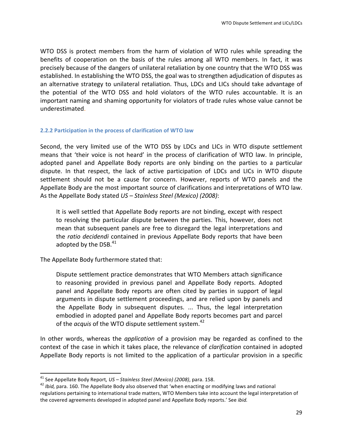WTO DSS is protect members from the harm of violation of WTO rules while spreading the benefits of cooperation on the basis of the rules among all WTO members. In fact, it was precisely because of the dangers of unilateral retaliation by one country that the WTO DSS was established. In establishing the WTO DSS, the goal was to strengthen adjudication of disputes as an alternative strategy to unilateral retaliation. Thus, LDCs and LICs should take advantage of the potential of the WTO DSS and hold violators of the WTO rules accountable. It is an important naming and shaming opportunity for violators of trade rules whose value cannot be underestimated. 

#### **2.2.2 Participation in the process of clarification of WTO law**

Second, the very limited use of the WTO DSS by LDCs and LICs in WTO dispute settlement means that 'their voice is not heard' in the process of clarification of WTO law. In principle, adopted panel and Appellate Body reports are only binding on the parties to a particular dispute. In that respect, the lack of active participation of LDCs and LICs in WTO dispute settlement should not be a cause for concern. However, reports of WTO panels and the Appellate Body are the most important source of clarifications and interpretations of WTO law. As the Appellate Body stated *US* – *Stainless Steel (Mexico) (2008)*:

It is well settled that Appellate Body reports are not binding, except with respect to resolving the particular dispute between the parties. This, however, does not mean that subsequent panels are free to disregard the legal interpretations and the *ratio decidendi* contained in previous Appellate Body reports that have been adopted by the DSB. $41$ 

The Appellate Body furthermore stated that:

<u> 1989 - Jan Samuel Barbara, margaret e</u>

Dispute settlement practice demonstrates that WTO Members attach significance to reasoning provided in previous panel and Appellate Body reports. Adopted panel and Appellate Body reports are often cited by parties in support of legal arguments in dispute settlement proceedings, and are relied upon by panels and the Appellate Body in subsequent disputes. ... Thus, the legal interpretation embodied in adopted panel and Appellate Body reports becomes part and parcel of the *acquis* of the WTO dispute settlement system.<sup>42</sup>

In other words, whereas the *application* of a provision may be regarded as confined to the context of the case in which it takes place, the relevance of *clarification* contained in adopted Appellate Body reports is not limited to the application of a particular provision in a specific

<sup>&</sup>lt;sup>41</sup> See Appellate Body Report, *US* – *Stainless Steel (Mexico) (2008)*, para. 158.<br><sup>42</sup> *Ibid*, para. 160. The Appellate Body also observed that 'when enacting or modifying laws and national regulations pertaining to international trade matters, WTO Members take into account the legal interpretation of the covered agreements developed in adopted panel and Appellate Body reports.' See *ibid.*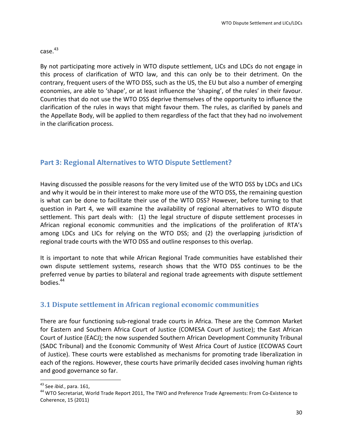$case.<sup>43</sup>$ 

By not participating more actively in WTO dispute settlement, LICs and LDCs do not engage in this process of clarification of WTO law, and this can only be to their detriment. On the contrary, frequent users of the WTO DSS, such as the US, the EU but also a number of emerging economies, are able to 'shape', or at least influence the 'shaping', of the rules' in their favour. Countries that do not use the WTO DSS deprive themselves of the opportunity to influence the clarification of the rules in ways that might favour them. The rules, as clarified by panels and the Appellate Body, will be applied to them regardless of the fact that they had no involvement in the clarification process.

# **Part 3: Regional Alternatives to WTO Dispute Settlement?**

Having discussed the possible reasons for the very limited use of the WTO DSS by LDCs and LICs and why it would be in their interest to make more use of the WTO DSS, the remaining question is what can be done to facilitate their use of the WTO DSS? However, before turning to that question in Part 4, we will examine the availability of regional alternatives to WTO dispute settlement. This part deals with: (1) the legal structure of dispute settlement processes in African regional economic communities and the implications of the proliferation of RTA's among LDCs and LICs for relying on the WTO DSS; and (2) the overlapping jurisdiction of regional trade courts with the WTO DSS and outline responses to this overlap.

It is important to note that while African Regional Trade communities have established their own dispute settlement systems, research shows that the WTO DSS continues to be the preferred venue by parties to bilateral and regional trade agreements with dispute settlement bodies.44

# **3.1 Dispute settlement in African regional economic communities**

There are four functioning sub-regional trade courts in Africa. These are the Common Market for Eastern and Southern Africa Court of Justice (COMESA Court of Justice); the East African Court of Justice (EACJ); the now suspended Southern African Development Community Tribunal (SADC Tribunal) and the Economic Community of West Africa Court of Justice (ECOWAS Court of Justice). These courts were established as mechanisms for promoting trade liberalization in each of the regions. However, these courts have primarily decided cases involving human rights and good governance so far.

<sup>&</sup>lt;sup>43</sup> See *ibid.*, para. 161,<br><sup>44</sup> WTO Secretariat, World Trade Report 2011, The TWO and Preference Trade Agreements: From Co-Existence to Coherence, 15 (2011)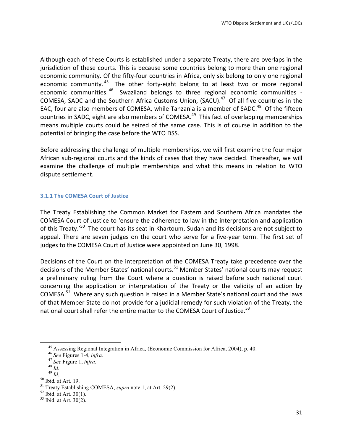Although each of these Courts is established under a separate Treaty, there are overlaps in the jurisdiction of these courts. This is because some countries belong to more than one regional economic community. Of the fifty-four countries in Africa, only six belong to only one regional economic community. <sup>45</sup> The other forty-eight belong to at least two or more regional economic communities.  $46$  Swaziland belongs to three regional economic communities -COMESA, SADC and the Southern Africa Customs Union, (SACU).<sup>47</sup> Of all five countries in the EAC, four are also members of COMESA, while Tanzania is a member of SADC.<sup>48</sup> Of the fifteen countries in SADC, eight are also members of COMESA.<sup>49</sup> This fact of overlapping memberships means multiple courts could be seized of the same case. This is of course in addition to the potential of bringing the case before the WTO DSS.

Before addressing the challenge of multiple memberships, we will first examine the four major African sub-regional courts and the kinds of cases that they have decided. Thereafter, we will examine the challenge of multiple memberships and what this means in relation to WTO dispute settlement.

#### **3.1.1 The COMESA Court of Justice**

The Treaty Establishing the Common Market for Eastern and Southern Africa mandates the COMESA Court of Justice to 'ensure the adherence to law in the interpretation and application of this Treaty.'<sup>50</sup> The court has its seat in Khartoum, Sudan and its decisions are not subject to appeal. There are seven judges on the court who serve for a five-year term. The first set of judges to the COMESA Court of Justice were appointed on June 30, 1998.

Decisions of the Court on the interpretation of the COMESA Treaty take precedence over the decisions of the Member States' national courts.<sup>51</sup> Member States' national courts may request a preliminary ruling from the Court where a question is raised before such national court concerning the application or interpretation of the Treaty or the validity of an action by COMESA.<sup>52</sup> Where any such question is raised in a Member State's national court and the laws of that Member State do not provide for a judicial remedy for such violation of the Treaty, the national court shall refer the entire matter to the COMESA Court of Justice.<sup>53</sup>

 

<sup>&</sup>lt;sup>45</sup> Assessing Regional Integration in Africa, (Economic Commission for Africa, 2004), p. 40.<br><sup>46</sup> See Figure 1.4, *infra*.<br><sup>47</sup> See Figure 1, *infra*.<br><sup>48</sup> Id.<br><sup>49</sup> Id.<br><sup>50</sup> Ibid. at Art. 19.<br><sup>50</sup> Ibid. at Art. 30(1).<br><sup>5</sup>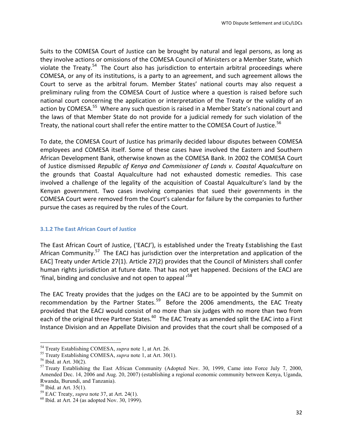Suits to the COMESA Court of Justice can be brought by natural and legal persons, as long as they involve actions or omissions of the COMESA Council of Ministers or a Member State, which violate the Treaty.<sup>54</sup> The Court also has jurisdiction to entertain arbitral proceedings where COMESA, or any of its institutions, is a party to an agreement, and such agreement allows the Court to serve as the arbitral forum. Member States' national courts may also request a preliminary ruling from the COMESA Court of Justice where a question is raised before such national court concerning the application or interpretation of the Treaty or the validity of an action by COMESA.<sup>55</sup> Where any such question is raised in a Member State's national court and the laws of that Member State do not provide for a judicial remedy for such violation of the Treaty, the national court shall refer the entire matter to the COMESA Court of Justice.<sup>56</sup>

To date, the COMESA Court of Justice has primarily decided labour disputes between COMESA employees and COMESA itself. Some of these cases have involved the Eastern and Southern African Development Bank, otherwise known as the COMESA Bank. In 2002 the COMESA Court of Justice dismissed *Republic of Kenya and Commissioner of Lands v. Coastal Aqualculture* on the grounds that Coastal Aqualculture had not exhausted domestic remedies. This case involved a challenge of the legality of the acquisition of Coastal Aqualculture's land by the Kenyan government. Two cases involving companies that sued their governments in the COMESA Court were removed from the Court's calendar for failure by the companies to further pursue the cases as required by the rules of the Court.

#### **3.1.2 The East African Court of Justice**

The East African Court of Justice, ('EACJ'), is established under the Treaty Establishing the East African Community.<sup>57</sup> The EACJ has jurisdiction over the interpretation and application of the EAC] Treaty under Article 27(1). Article 27(2) provides that the Council of Ministers shall confer human rights jurisdiction at future date. That has not yet happened. Decisions of the EACJ are 'final, binding and conclusive and not open to appeal  $^{58}$ 

The EAC Treaty provides that the judges on the EACJ are to be appointed by the Summit on recommendation by the Partner States.<sup>59</sup> Before the 2006 amendments, the EAC Treaty provided that the EACJ would consist of no more than six judges with no more than two from each of the original three Partner States.<sup>60</sup> The EAC Treaty as amended split the EAC into a First Instance Division and an Appellate Division and provides that the court shall be composed of a

 

<sup>&</sup>lt;sup>54</sup> Treaty Establishing COMESA, *supra* note 1, at Art. 26.<br><sup>55</sup> Treaty Establishing COMESA, *supra* note 1, at Art. 30(1).<br><sup>56</sup> Ibid. at Art. 30(2).<br><sup>57</sup> Treaty Establishing the East African Community (Adopted Nov. 30, Amended Dec. 14, 2006 and Aug. 20, 2007) (establishing a regional economic community between Kenya, Uganda, Rwanda, Burundi, and Tanzania).<br><sup>58</sup> Ibid. at Art. 35(1).

<sup>&</sup>lt;sup>59</sup> EAC Treaty, *supra* note 37, at Art. 24(1). <sup>60</sup> Ibid. at Art. 24 (as adopted Nov. 30, 1999).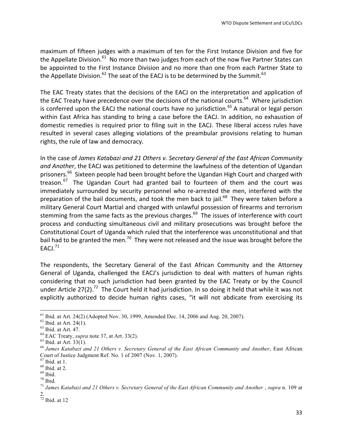maximum of fifteen judges with a maximum of ten for the First Instance Division and five for the Appellate Division. $61$  No more than two judges from each of the now five Partner States can be appointed to the First Instance Division and no more than one from each Partner State to the Appellate Division.<sup>62</sup> The seat of the EACJ is to be determined by the Summit.<sup>63</sup>

The EAC Treaty states that the decisions of the EACJ on the interpretation and application of the EAC Treaty have precedence over the decisions of the national courts.<sup>64</sup> Where jurisdiction is conferred upon the EACJ the national courts have no jurisdiction.<sup>65</sup> A natural or legal person within East Africa has standing to bring a case before the EACJ. In addition, no exhaustion of domestic remedies is required prior to filing suit in the EACJ. These liberal access rules have resulted in several cases alleging violations of the preambular provisions relating to human rights, the rule of law and democracy.

In the case of *James Katabazi and 21 Others v. Secretary General of the East African Community* and Another, the EACJ was petitioned to determine the lawfulness of the detention of Ugandan prisoners.<sup>66</sup> Sixteen people had been brought before the Ugandan High Court and charged with treason. $67$  The Ugandan Court had granted bail to fourteen of them and the court was immediately surrounded by security personnel who re-arrested the men, interfered with the preparation of the bail documents, and took the men back to jail.<sup>68</sup> They were taken before a military General Court Martial and charged with unlawful possession of firearms and terrorism stemming from the same facts as the previous charges.<sup>69</sup> The issues of interference with court process and conducting simultaneous civil and military prosecutions was brought before the Constitutional Court of Uganda which ruled that the interference was unconstitutional and that bail had to be granted the men.<sup>70</sup> They were not released and the issue was brought before the EACJ. $^{71}$ 

The respondents, the Secretary General of the East African Community and the Attorney General of Uganda, challenged the EACJ's jurisdiction to deal with matters of human rights considering that no such jurisdiction had been granted by the EAC Treaty or by the Council under Article 27(2).<sup>72</sup> The Court held it had jurisdiction. In so doing it held that while it was not explicitly authorized to decide human rights cases, "it will not abdicate from exercising its

<sup>&</sup>lt;sup>61</sup> Ibid. at Art. 24(2) (Adopted Nov. 30, 1999, Amended Dec. 14, 2006 and Aug. 20, 2007).<br><sup>62</sup> Ibid. at Art. 24(1).<br><sup>63</sup> Ibid. at Art. 47.<br><sup>64</sup> EAC Treaty, *supra* note 37, at Art. 33(2).<br><sup>65</sup> Ibid. at Art. 33(1).<br><sup>65</sup> J Court of Justice Judgment Ref. No. 1 of 2007 (Nov. 1, 2007).

<sup>67</sup> Ibid. at 1. <sup>68</sup> Ibid. at 2. <sup>69</sup> Ibid. <sup>70</sup> Ibid. <sup>71</sup> *James Katabazi and 21 Others v. Secretary General of the East African Community and Another* , *supra* n. 109 at 2.

 $72$  Ibid. at 12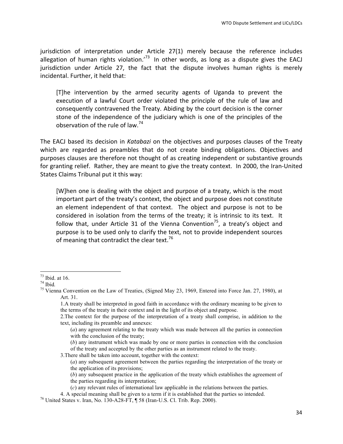jurisdiction of interpretation under Article 27(1) merely because the reference includes allegation of human rights violation.<sup>73</sup> In other words, as long as a dispute gives the EACJ jurisdiction under Article 27, the fact that the dispute involves human rights is merely incidental. Further, it held that:

[T]he intervention by the armed security agents of Uganda to prevent the execution of a lawful Court order violated the principle of the rule of law and consequently contravened the Treaty. Abiding by the court decision is the corner stone of the independence of the judiciary which is one of the principles of the observation of the rule of law.<sup>74</sup>

The EACJ based its decision in *Katabazi* on the objectives and purposes clauses of the Treaty which are regarded as preambles that do not create binding obligations. Objectives and purposes clauses are therefore not thought of as creating independent or substantive grounds for granting relief. Rather, they are meant to give the treaty context. In 2000, the Iran-United States Claims Tribunal put it this way:

[W]hen one is dealing with the object and purpose of a treaty, which is the most important part of the treaty's context, the object and purpose does not constitute an element independent of that context. The object and purpose is not to be considered in isolation from the terms of the treaty; it is intrinsic to its text. It follow that, under Article 31 of the Vienna Convention<sup>75</sup>, a treaty's object and purpose is to be used only to clarify the text, not to provide independent sources of meaning that contradict the clear text.<sup>76</sup>

<u> 1989 - Jan Samuel Barbara, margaret e</u>

(*b*) any instrument which was made by one or more parties in connection with the conclusion of the treaty and accepted by the other parties as an instrument related to the treaty.

3.There shall be taken into account, together with the context:

<sup>&</sup>lt;sup>73</sup> Ibid. at 16.<br><sup>74</sup> Ibid.<br><sup>75</sup> Vienna Convention on the Law of Treaties, (Signed May 23, 1969, Entered into Force Jan. 27, 1980), at Art. 31.

<sup>1.</sup>A treaty shall be interpreted in good faith in accordance with the ordinary meaning to be given to the terms of the treaty in their context and in the light of its object and purpose.

<sup>2.</sup>The context for the purpose of the interpretation of a treaty shall comprise, in addition to the text, including its preamble and annexes:

<sup>(</sup>*a*) any agreement relating to the treaty which was made between all the parties in connection with the conclusion of the treaty;

<sup>(</sup>*a*) any subsequent agreement between the parties regarding the interpretation of the treaty or the application of its provisions;

<sup>(</sup>*b*) any subsequent practice in the application of the treaty which establishes the agreement of the parties regarding its interpretation;

<sup>(</sup>*c*) any relevant rules of international law applicable in the relations between the parties.

<sup>4.</sup> A special meaning shall be given to a term if it is established that the parties so intended. <sup>76</sup> United States v. Iran, No. 130-A28-FT, ¶ 58 (Iran-U.S. Cl. Trib. Rep. 2000).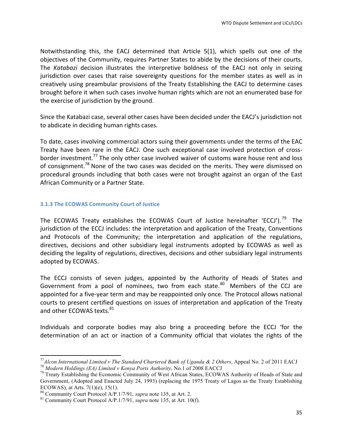Notwithstanding this, the EACJ determined that Article 5(1), which spells out one of the objectives of the Community, requires Partner States to abide by the decisions of their courts. The Katabazi decision illustrates the interpretive boldness of the EACJ not only in seizing jurisdiction over cases that raise sovereignty questions for the member states as well as in creatively using preambular provisions of the Treaty Establishing the EACJ to determine cases brought before it when such cases involve human rights which are not an enumerated base for the exercise of jurisdiction by the ground.

Since the Katabazi case, several other cases have been decided under the EACJ's jurisdiction not to abdicate in deciding human rights cases.

To date, cases involving commercial actors suing their governments under the terms of the EAC Treaty have been rare in the EACJ. One such exceptional case involved protection of crossborder investment.<sup>77</sup> The only other case involved waiver of customs ware house rent and loss of consignment.<sup>78</sup> None of the two cases was decided on the merits. They were dismissed on procedural grounds including that both cases were not brought against an organ of the East African Community or a Partner State.

#### **3.1.3 The ECOWAS Community Court of Justice**

The ECOWAS Treaty establishes the ECOWAS Court of Justice hereinafter 'ECCJ').<sup>79</sup> The jurisdiction of the ECCJ includes: the interpretation and application of the Treaty, Conventions and Protocols of the Community; the interpretation and application of the regulations, directives, decisions and other subsidiary legal instruments adopted by ECOWAS as well as deciding the legality of regulations, directives, decisions and other subsidiary legal instruments adopted by ECOWAS.

The ECCJ consists of seven judges, appointed by the Authority of Heads of States and Government from a pool of nominees, two from each state.<sup>80</sup> Members of the CCJ are appointed for a five-year term and may be reappointed only once. The Protocol allows national courts to present certified questions on issues of interpretation and application of the Treaty and other ECOWAS texts.<sup>81</sup>

Individuals and corporate bodies may also bring a proceeding before the ECCJ 'for the determination of an act or inaction of a Community official that violates the rights of the

<sup>&</sup>lt;sup>77</sup> Alcon International Limited v The Standard Chartered Bank of Uganda & 2 Others, Appeal No. 2 of 2011 EACJ<br><sup>78</sup> Modern Holdings (EA) Limited v Kenya Ports Authority, No.1 of 2008 EACCJ<br><sup>79</sup> Treaty Establishing the Eco

Government, (Adopted and Enacted July 24, 1993) (replacing the 1975 Treaty of Lagos as the Treaty Establishing ECOWAS), at Arts.  $7(1)(e)$ ,  $15(1)$ .<br><sup>80</sup> Community Court Protocol A/P.1/7/91, *supra* note 135, at Art. 2.

 $81$  Community Court Protocol A/P.1/7/91, *supra* note 135, at Art. 10(f).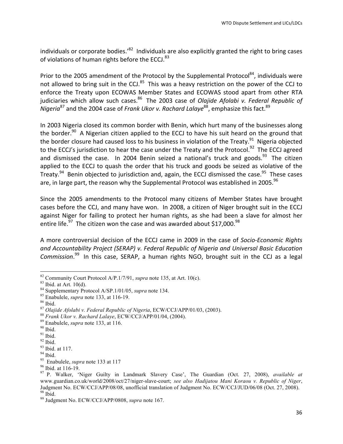individuals or corporate bodies.<sup>'82</sup> Individuals are also explicitly granted the right to bring cases of violations of human rights before the ECCJ. $83$ 

Prior to the 2005 amendment of the Protocol by the Supplemental Protocol<sup>84</sup>, individuals were not allowed to bring suit in the CCJ.<sup>85</sup> This was a heavy restriction on the power of the CCJ to enforce the Treaty upon ECOWAS Member States and ECOWAS stood apart from other RTA judiciaries which allow such cases.<sup>86</sup> The 2003 case of *Olajide Afolabi v. Federal Republic of Nigeria*<sup>87</sup> and the 2004 case of *Frank Ukor v. Rachard Lalaye*<sup>88</sup>, emphasize this fact.<sup>89</sup>

In 2003 Nigeria closed its common border with Benin, which hurt many of the businesses along the border.<sup>90</sup> A Nigerian citizen applied to the ECCJ to have his suit heard on the ground that the border closure had caused loss to his business in violation of the Treaty.<sup>91</sup> Nigeria objected to the ECCJ's jurisdiction to hear the case under the Treaty and the Protocol.<sup>92</sup> The ECCJ agreed and dismissed the case. In 2004 Benin seized a national's truck and goods.<sup>93</sup> The citizen applied to the ECCJ to quash the order that his truck and goods be seized as violative of the Treaty. $94$  Benin objected to jurisdiction and, again, the ECCJ dismissed the case.  $95$  These cases are, in large part, the reason why the Supplemental Protocol was established in 2005.<sup>96</sup>

Since the 2005 amendments to the Protocol many citizens of Member States have brought cases before the CCJ, and many have won. In 2008, a citizen of Niger brought suit in the ECCJ against Niger for failing to protect her human rights, as she had been a slave for almost her entire life.<sup>97</sup> The citizen won the case and was awarded about \$17,000.<sup>98</sup>

A more controversial decision of the ECCJ came in 2009 in the case of *Socio-Economic Rights* and Accountability Project (SERAP) v. Federal Republic of Nigeria and Universal Basic Education Commission.<sup>99</sup> In this case, SERAP, a human rights NGO, brought suit in the CCJ as a legal

<sup>&</sup>lt;sup>82</sup> Community Court Protocol A/P.1/7/91, *supra* note 135, at Art. 10(c).<br>
<sup>84</sup> Sbid. at Art. 10(d).<br>
<sup>84</sup> Supplementary Protocol A/SP.1/01/05, *supra* note 134.<br>
<sup>85</sup> Enabulele, *supra* note 133, at 116-19.<br>
<sup>86</sup> Dai*de* www.guardian.co.uk/world/2008/oct/27/niger-slave-court; *see also Hadijatou Mani Koraou v. Republic of Niger*, Judgment No. ECW/CCJ/APP/08/08, unofficial translation of Judgment No. ECW/CCJ/JUD/06/08 (Oct. 27, 2008). <sup>98</sup> Ibid. <sup>99</sup> Judgment No. ECW/CCJ/APP/0808, *supra* note 167.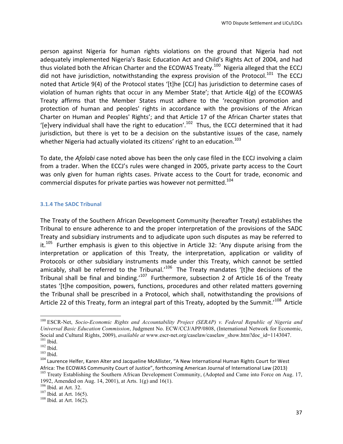person against Nigeria for human rights violations on the ground that Nigeria had not adequately implemented Nigeria's Basic Education Act and Child's Rights Act of 2004, and had thus violated both the African Charter and the ECOWAS Treaty.<sup>100</sup> Nigeria alleged that the ECCJ did not have jurisdiction, notwithstanding the express provision of the Protocol.<sup>101</sup> The ECCJ noted that Article 9(4) of the Protocol states '[t]he [CCJ] has jurisdiction to determine cases of violation of human rights that occur in any Member State'; that Article 4(g) of the ECOWAS Treaty affirms that the Member States must adhere to the 'recognition promotion and protection of human and peoples' rights in accordance with the provisions of the African Charter on Human and Peoples' Rights'; and that Article 17 of the African Charter states that '[e]very individual shall have the right to education'.<sup>102</sup> Thus, the ECCJ determined that it had jurisdiction, but there is yet to be a decision on the substantive issues of the case, namely whether Nigeria had actually violated its citizens' right to an education.<sup>103</sup>

To date, the *Afolabi* case noted above has been the only case filed in the ECCJ involving a claim from a trader. When the ECCJ's rules were changed in 2005, private party access to the Court was only given for human rights cases. Private access to the Court for trade, economic and commercial disputes for private parties was however not permitted.<sup>104</sup>

#### **3.1.4 The SADC Tribunal**

The Treaty of the Southern African Development Community (hereafter Treaty) establishes the Tribunal to ensure adherence to and the proper interpretation of the provisions of the SADC Treaty and subsidiary instruments and to adjudicate upon such disputes as may be referred to it.<sup>105</sup> Further emphasis is given to this objective in Article 32: 'Any dispute arising from the interpretation or application of this Treaty, the interpretation, application or validity of Protocols or other subsidiary instruments made under this Treaty, which cannot be settled amicably, shall be referred to the Tribunal.'<sup>106</sup> The Treaty mandates '[t]he decisions of the Tribunal shall be final and binding.<sup>'107</sup> Furthermore, subsection 2 of Article 16 of the Treaty states '[t]he composition, powers, functions, procedures and other related matters governing the Tribunal shall be prescribed in a Protocol, which shall, notwithstanding the provisions of Article 22 of this Treaty, form an integral part of this Treaty, adopted by the Summit.'<sup>108</sup> Article

<sup>100</sup> ESCR-Net, *Socio-Economic Rights and Accountability Project (SERAP) v. Federal Republic of Nigeria and Universal Basic Education Commission*, Judgment No. ECW/CCJ/APP/0808, (International Network for Economic, Social and Cultural Rights, 2009), *available at* www.escr-net.org/caselaw/caselaw\_show.htm?doc\_id=1143047.<br><sup>101</sup> Ibid.<br><sup>102</sup> Ibid.<br><sup>103</sup> Ibid.<br><sup>103</sup> Laurence Helfer, Karen Alter and Jacqueline McAllister, "A New Internati

Africa: The ECOWAS Community Court of Justice", forthcoming American Journal of International Law (2013) 105 Treaty Establishing the Southern African Development Community, (Adopted and Came into Force on Aug. 17,

<sup>1992,</sup> Amended on Aug. 14, 2001), at Arts. 1(g) and 16(1).<br><sup>106</sup> Ibid. at Art. 32.<br><sup>107</sup> Ibid. at Art. 16(5).<br><sup>108</sup> Ibid. at Art. 16(2).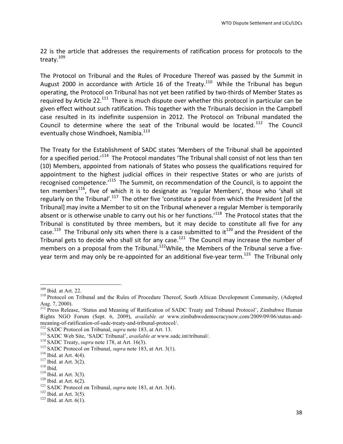22 is the article that addresses the requirements of ratification process for protocols to the treaty.<sup>109</sup>

The Protocol on Tribunal and the Rules of Procedure Thereof was passed by the Summit in August 2000 in accordance with Article 16 of the Treaty.<sup>110</sup> While the Tribunal has begun operating, the Protocol on Tribunal has not yet been ratified by two-thirds of Member States as required by Article 22.<sup>111</sup> There is much dispute over whether this protocol in particular can be given effect without such ratification. This together with the Tribunals decision in the Campbell case resulted in its indefinite suspension in 2012. The Protocol on Tribunal mandated the Council to determine where the seat of the Tribunal would be located.<sup>112</sup> The Council eventually chose Windhoek, Namibia.<sup>113</sup>

The Treaty for the Establishment of SADC states 'Members of the Tribunal shall be appointed for a specified period.<sup>'114</sup> The Protocol mandates 'The Tribunal shall consist of not less than ten (10) Members, appointed from nationals of States who possess the qualifications required for appointment to the highest judicial offices in their respective States or who are jurists of recognised competence. $115$  The Summit, on recommendation of the Council, is to appoint the ten members<sup>116</sup>, five of which it is to designate as 'regular Members', those who 'shall sit regularly on the Tribunal'.<sup>117</sup> The other five 'constitute a pool from which the President [of the Tribunal] may invite a Member to sit on the Tribunal whenever a regular Member is temporarily absent or is otherwise unable to carry out his or her functions.'<sup>118</sup> The Protocol states that the Tribunal is constituted by three members, but it may decide to constitute all five for any case.<sup>119</sup> The Tribunal only sits when there is a case submitted to it<sup>120</sup> and the President of the Tribunal gets to decide who shall sit for any case.<sup>121</sup> The Council may increase the number of members on a proposal from the Tribunal.<sup>122</sup>While, the Members of the Tribunal serve a fiveyear term and may only be re-appointed for an additional five-year term.<sup>123</sup> The Tribunal only

<sup>&</sup>lt;sup>109</sup> Ibid. at Art. 22.<br><sup>110</sup> Protocol on Tribunal and the Rules of Procedure Thereof, South African Development Community, (Adopted Aug. 7, 2000).

<sup>&</sup>lt;sup>111</sup> Press Release, 'Status and Meaning of Ratification of SADC Treaty and Tribunal Protocol', Zimbabwe Human Rights NGO Forum (Sept. 6, 2009), *available at* www.zimbabwedemocracynow.com/2009/09/06/status-andmeaning-of-ratification-of-sadc-treaty-and-tribunal-protocol/.<br><sup>112</sup> SADC Protocol on Tribunal, *supra* note 183, at Art. 13.<br><sup>113</sup> SADC Web Site, 'SADC Tribunal', *available at* www.sadc.int/tribunal/.<br><sup>114</sup> SADC Treaty,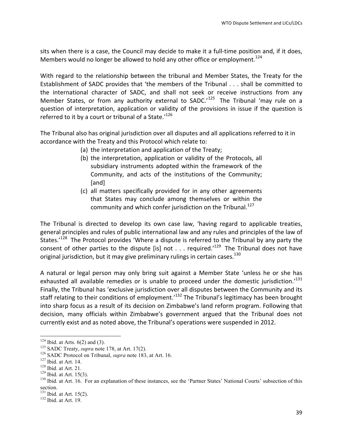sits when there is a case, the Council may decide to make it a full-time position and, if it does, Members would no longer be allowed to hold any other office or employment.<sup>124</sup>

With regard to the relationship between the tribunal and Member States, the Treaty for the Establishment of SADC provides that 'the members of the Tribunal . . . shall be committed to the international character of SADC, and shall not seek or receive instructions from any Member States, or from any authority external to SADC.<sup>125</sup> The Tribunal 'may rule on a question of interpretation, application or validity of the provisions in issue if the question is referred to it by a court or tribunal of a State.<sup>'126</sup>

The Tribunal also has original jurisdiction over all disputes and all applications referred to it in accordance with the Treaty and this Protocol which relate to:

- (a) the interpretation and application of the Treaty;
- (b) the interpretation, application or validity of the Protocols, all subsidiary instruments adopted within the framework of the Community, and acts of the institutions of the Community; [and]
- (c) all matters specifically provided for in any other agreements that States may conclude among themselves or within the community and which confer jurisdiction on the Tribunal.<sup>127</sup>

The Tribunal is directed to develop its own case law, 'having regard to applicable treaties, general principles and rules of public international law and any rules and principles of the law of States.<sup>'128</sup> The Protocol provides 'Where a dispute is referred to the Tribunal by any party the consent of other parties to the dispute [is] not . . . required.'<sup>129</sup> The Tribunal does not have original jurisdiction, but it may give preliminary rulings in certain cases.<sup>130</sup>

A natural or legal person may only bring suit against a Member State 'unless he or she has exhausted all available remedies or is unable to proceed under the domestic jurisdiction.<sup>131</sup> Finally, the Tribunal has 'exclusive jurisdiction over all disputes between the Community and its staff relating to their conditions of employment.<sup> $132$ </sup> The Tribunal's legitimacy has been brought into sharp focus as a result of its decision on Zimbabwe's land reform program. Following that decision, many officials within Zimbabwe's government argued that the Tribunal does not currently exist and as noted above, the Tribunal's operations were suspended in 2012.

<sup>&</sup>lt;sup>124</sup> Ibid. at Arts. 6(2) and (3).<br><sup>125</sup> SADC Treaty, *supra* note 178, at Art. 17(2).<br><sup>126</sup> SADC Protocol on Tribunal, *supra* note 183, at Art. 16.<br><sup>127</sup> Ibid. at Art. 14.<br><sup>128</sup> Ibid. at Art. 15(3).<br><sup>129</sup> Ibid. at Art. section.<br><sup>131</sup> Ibid. at Art. 15(2).<br><sup>132</sup> Ibid. at Art. 19.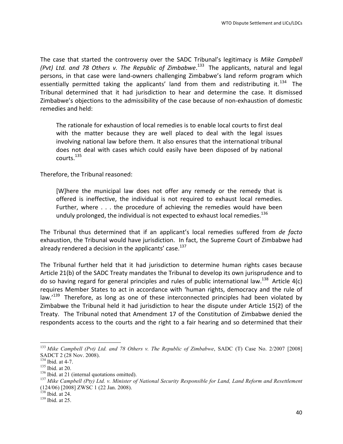The case that started the controversy over the SADC Tribunal's legitimacy is Mike Campbell (Pvt) Ltd. and 78 Others v. The Republic of Zimbabwe.<sup>133</sup> The applicants, natural and legal persons, in that case were land-owners challenging Zimbabwe's land reform program which essentially permitted taking the applicants' land from them and redistributing it.<sup>134</sup> The Tribunal determined that it had jurisdiction to hear and determine the case. It dismissed Zimbabwe's objections to the admissibility of the case because of non-exhaustion of domestic remedies and held:

The rationale for exhaustion of local remedies is to enable local courts to first deal with the matter because they are well placed to deal with the legal issues involving national law before them. It also ensures that the international tribunal does not deal with cases which could easily have been disposed of by national courts.<sup>135</sup>

Therefore, the Tribunal reasoned:

[W]here the municipal law does not offer any remedy or the remedy that is offered is ineffective, the individual is not required to exhaust local remedies. Further, where  $\dots$  the procedure of achieving the remedies would have been unduly prolonged, the individual is not expected to exhaust local remedies.<sup>136</sup>

The Tribunal thus determined that if an applicant's local remedies suffered from *de facto* exhaustion, the Tribunal would have jurisdiction. In fact, the Supreme Court of Zimbabwe had already rendered a decision in the applicants' case.<sup>137</sup>

The Tribunal further held that it had jurisdiction to determine human rights cases because Article 21(b) of the SADC Treaty mandates the Tribunal to develop its own jurisprudence and to do so having regard for general principles and rules of public international law.<sup>138</sup> Article 4(c) requires Member States to act in accordance with 'human rights, democracy and the rule of law.' $^{139}$  Therefore, as long as one of these interconnected principles had been violated by Zimbabwe the Tribunal held it had jurisdiction to hear the dispute under Article 15(2) of the Treaty. The Tribunal noted that Amendment 17 of the Constitution of Zimbabwe denied the respondents access to the courts and the right to a fair hearing and so determined that their

 

<sup>133</sup> *Mike Campbell (Pvt) Ltd. and 78 Others v. The Republic of Zimbabwe*, SADC (T) Case No. 2/2007 [2008] SADCT 2 (28 Nov. 2008).

<sup>&</sup>lt;sup>134</sup> Ibid. at 4-7.<br><sup>135</sup> Ibid. at 20.<br><sup>136</sup> Ibid. at 21 (internal quotations omitted). 137 *Minister of National Security Responsible for Land, Land Reform and Resettlement* (124/06) [2008] ZWSC 1 (22 Jan. 2008).<br><sup>138</sup> Ibid. at 24.

 $139$  Ibid. at 25.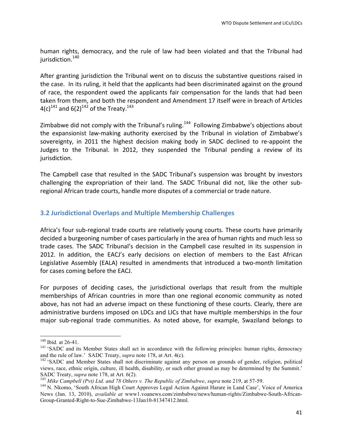human rights, democracy, and the rule of law had been violated and that the Tribunal had jurisdiction.<sup>140</sup>

After granting jurisdiction the Tribunal went on to discuss the substantive questions raised in the case. In its ruling, it held that the applicants had been discriminated against on the ground of race, the respondent owed the applicants fair compensation for the lands that had been taken from them, and both the respondent and Amendment 17 itself were in breach of Articles 4(c)<sup>141</sup> and 6(2)<sup>142</sup> of the Treaty.<sup>143</sup>

Zimbabwe did not comply with the Tribunal's ruling.<sup>144</sup> Following Zimbabwe's objections about the expansionist law-making authority exercised by the Tribunal in violation of Zimbabwe's sovereignty, in 2011 the highest decision making body in SADC declined to re-appoint the Judges to the Tribunal. In 2012, they suspended the Tribunal pending a review of its jurisdiction. 

The Campbell case that resulted in the SADC Tribunal's suspension was brought by investors challenging the expropriation of their land. The SADC Tribunal did not, like the other subregional African trade courts, handle more disputes of a commercial or trade nature.

## **3.2 Jurisdictional Overlaps and Multiple Membership Challenges**

Africa's four sub-regional trade courts are relatively young courts. These courts have primarily decided a burgeoning number of cases particularly in the area of human rights and much less so trade cases. The SADC Tribunal's decision in the Campbell case resulted in its suspension in 2012. In addition, the EACJ's early decisions on election of members to the East African Legislative Assembly (EALA) resulted in amendments that introduced a two-month limitation for cases coming before the EACJ.

For purposes of deciding cases, the jurisdictional overlaps that result from the multiple memberships of African countries in more than one regional economic community as noted above, has not had an adverse impact on these functioning of these courts. Clearly, there are administrative burdens imposed on LDCs and LICs that have multiple memberships in the four major sub-regional trade communities. As noted above, for example, Swaziland belongs to

<sup>&</sup>lt;sup>140</sup> Ibid. at 26-41.<br><sup>141</sup> 'SADC and its Member States shall act in accordance with the following principles: human rights, democracy and the rule of law.' SADC Treaty, *supra* note 178, at Art. 4(c).<br><sup>142</sup> 'SADC and Member States shall not discriminate against any person on grounds of gender, religion, political

views, race, ethnic origin, culture, ill health, disability, or such other ground as may be determined by the Summit.'

SADC Treaty, *supra* note 178, at Art. 6(2).<br><sup>143</sup> Mike Campbell (Pvt) Ltd. and 78 Others v. The Republic of Zimbabwe, supra note 219, at 57-59.<br><sup>144</sup> N. Nkomo, 'South African High Court Approves Legal Action Against Harar News (Jan. 13, 2010), *available at* www1.voanews.com/zimbabwe/news/human-rights/Zimbabwe-South-African-Group-Granted-Right-to-Sue-Zimbabwe-13Jan10-81347412.html.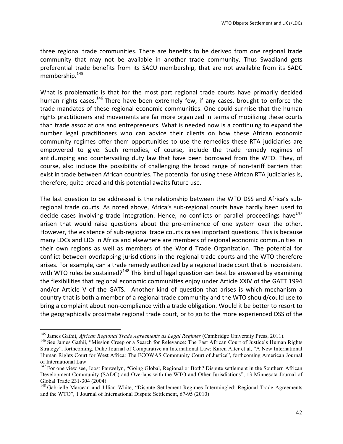three regional trade communities. There are benefits to be derived from one regional trade community that may not be available in another trade community. Thus Swaziland gets preferential trade benefits from its SACU membership, that are not available from its SADC membership.<sup>145</sup>

What is problematic is that for the most part regional trade courts have primarily decided human rights cases.<sup>146</sup> There have been extremely few, if any cases, brought to enforce the trade mandates of these regional economic communities. One could surmise that the human rights practitioners and movements are far more organized in terms of mobilizing these courts than trade associations and entrepreneurs. What is needed now is a continuing to expand the number legal practitioners who can advice their clients on how these African economic community regimes offer them opportunities to use the remedies these RTA judiciaries are empowered to give. Such remedies, of course, include the trade remedy regimes of antidumping and countervailing duty law that have been borrowed from the WTO. They, of course, also include the possibility of challenging the broad range of non-tariff barriers that exist in trade between African countries. The potential for using these African RTA judiciaries is, therefore, quite broad and this potential awaits future use.

The last question to be addressed is the relationship between the WTO DSS and Africa's subregional trade courts. As noted above, Africa's sub-regional courts have hardly been used to decide cases involving trade integration. Hence, no conflicts or parallel proceedings have  $147$ arisen that would raise questions about the pre-eminence of one system over the other. However, the existence of sub-regional trade courts raises important questions. This is because many LDCs and LICs in Africa and elsewhere are members of regional economic communities in their own regions as well as members of the World Trade Organization. The potential for conflict between overlapping jurisdictions in the regional trade courts and the WTO therefore arises. For example, can a trade remedy authorized by a regional trade court that is inconsistent with WTO rules be sustained?<sup>148</sup> This kind of legal question can best be answered by examining the flexibilities that regional economic communities enjoy under Article XXIV of the GATT 1994 and/or Article V of the GATS. Another kind of question that arises is which mechanism a country that is both a member of a regional trade community and the WTO should/could use to bring a complaint about non-compliance with a trade obligation. Would it be better to resort to the geographically proximate regional trade court, or to go to the more experienced DSS of the

<sup>&</sup>lt;sup>145</sup> James Gathii, *African Regional Trade Agreements as Legal Regimes* (Cambridge University Press, 2011).<br><sup>146</sup> See James Gathii, "Mission Creep or a Search for Relevance: The East African Court of Justice's Human Righ Strategy", forthcoming, Duke Journal of Comparative an International Law; Karen Alter et al, "A New International Human Rights Court for West Africa: The ECOWAS Community Court of Justice", forthcoming American Journal of International Law.

<sup>&</sup>lt;sup>147</sup> For one view see, Joost Pauwelyn, "Going Global, Regional or Both? Dispute settlement in the Southern African Development Community (SADC) and Overlaps with the WTO and Other Jurisdictions", 13 Minnesota Journal of Global Trade 231-304 (2004).<br><sup>148</sup> Gabrielle Marceau and Jillian White, "Dispute Settlement Regimes Intermingled: Regional Trade Agreements

and the WTO", 1 Journal of International Dispute Settlement, 67-95 (2010)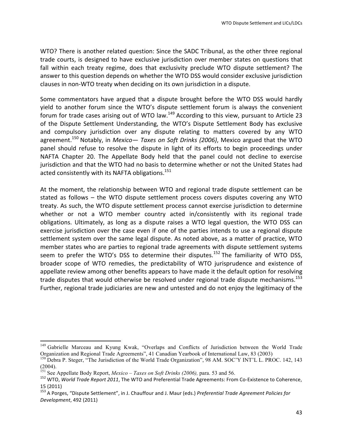WTO? There is another related question: Since the SADC Tribunal, as the other three regional trade courts, is designed to have exclusive jurisdiction over member states on questions that fall within each treaty regime, does that exclusivity preclude WTO dispute settlement? The answer to this question depends on whether the WTO DSS would consider exclusive jurisdiction clauses in non-WTO treaty when deciding on its own jurisdiction in a dispute.

Some commentators have argued that a dispute brought before the WTO DSS would hardly yield to another forum since the WTO's dispute settlement forum is always the convenient forum for trade cases arising out of WTO law.<sup>149</sup> According to this view, pursuant to Article 23 of the Dispute Settlement Understanding, the WTO's Dispute Settlement Body has exclusive and compulsory jurisdiction over any dispute relating to matters covered by any WTO agreement.<sup>150</sup> Notably, in *Mexico— Taxes on Soft Drinks (2006)*, Mexico argued that the WTO panel should refuse to resolve the dispute in light of its efforts to begin proceedings under NAFTA Chapter 20. The Appellate Body held that the panel could not decline to exercise jurisdiction and that the WTO had no basis to determine whether or not the United States had acted consistently with its NAFTA obligations.<sup>151</sup>

At the moment, the relationship between WTO and regional trade dispute settlement can be stated as follows  $-$  the WTO dispute settlement process covers disputes covering any WTO treaty. As such, the WTO dispute settlement process cannot exercise jurisdiction to determine whether or not a WTO member country acted in/consistently with its regional trade obligations. Ultimately, as long as a dispute raises a WTO legal question, the WTO DSS can exercise jurisdiction over the case even if one of the parties intends to use a regional dispute settlement system over the same legal dispute. As noted above, as a matter of practice, WTO member states who are parties to regional trade agreements with dispute settlement systems seem to prefer the WTO's DSS to determine their disputes.<sup>152</sup> The familiarity of WTO DSS, broader scope of WTO remedies, the predictability of WTO jurisprudence and existence of appellate review among other benefits appears to have made it the default option for resolving trade disputes that would otherwise be resolved under regional trade dispute mechanisms.<sup>153</sup> Further, regional trade judiciaries are new and untested and do not enjoy the legitimacy of the

<sup>&</sup>lt;sup>149</sup> Gabrielle Marceau and Kyung Kwak, "Overlaps and Conflicts of Jurisdiction between the World Trade Organization and Regional Trade Agreements", 41 Canadian Yearbook of International Law, 83 (2003)<br><sup>150</sup> Debra P. Steger, "The Jurisdiction of the World Trade Organization", 98 AM. SOC'Y INT'L L. PROC. 142, 143

<sup>(2004).&</sup>lt;br><sup>151</sup> See Appellate Body Report, *Mexico – Taxes on Soft Drinks (2006)*, para. 53 and 56.

<sup>&</sup>lt;sup>152</sup> WTO, *World Trade Report 2011*, The WTO and Preferential Trade Agreements: From Co-Existence to Coherence, 15 (2011) 

<sup>&</sup>lt;sup>153</sup> A Porges, "Dispute Settlement", in J. Chauffour and J. Maur (eds.) Preferential Trade Agreement Policies for *Development*, 492 (2011)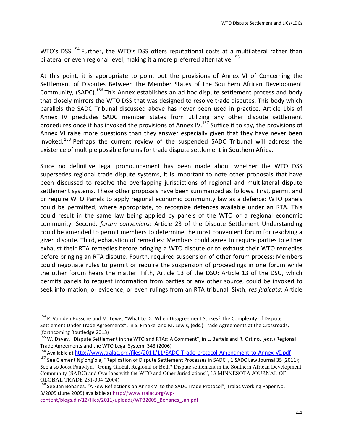WTO's DSS.<sup>154</sup> Further, the WTO's DSS offers reputational costs at a multilateral rather than bilateral or even regional level, making it a more preferred alternative.<sup>155</sup>

At this point, it is appropriate to point out the provisions of Annex VI of Concerning the Settlement of Disputes Between the Member States of the Southern African Development Community, (SADC).<sup>156</sup> This Annex establishes an ad hoc dispute settlement process and body that closely mirrors the WTO DSS that was designed to resolve trade disputes. This body which parallels the SADC Tribunal discussed above has never been used in practice. Article 1bis of Annex IV precludes SADC member states from utilizing any other dispute settlement procedures once it has invoked the provisions of Annex IV.<sup>157</sup> Suffice it to say, the provisions of Annex VI raise more questions than they answer especially given that they have never been invoked.<sup>158</sup> Perhaps the current review of the suspended SADC Tribunal will address the existence of multiple possible forums for trade dispute settlement in Southern Africa.

Since no definitive legal pronouncement has been made about whether the WTO DSS supersedes regional trade dispute systems, it is important to note other proposals that have been discussed to resolve the overlapping jurisdictions of regional and multilateral dispute settlement systems. These other proposals have been summarized as follows. First, permit and or require WTO Panels to apply regional economic community law as a defence: WTO panels could be permitted, where appropriate, to recognize defences available under an RTA. This could result in the same law being applied by panels of the WTO or a regional economic community. Second, *forum conveniens*: Article 23 of the Dispute Settlement Understanding could be amended to permit members to determine the most convenient forum for resolving a given dispute. Third, exhaustion of remedies: Members could agree to require parties to either exhaust their RTA remedies before bringing a WTO dispute or to exhaust their WTO remedies before bringing an RTA dispute. Fourth, required suspension of other forum process: Members could negotiate rules to permit or require the suspension of proceedings in one forum while the other forum hears the matter. Fifth, Article 13 of the DSU: Article 13 of the DSU, which permits panels to request information from parties or any other source, could be invoked to seek information, or evidence, or even rulings from an RTA tribunal. Sixth, res judicata: Article

<sup>&</sup>lt;sup>154</sup> P. Van den Bossche and M. Lewis, "What to Do When Disagreement Strikes? The Complexity of Dispute Settlement Under Trade Agreements", in S. Frankel and M. Lewis, (eds.) Trade Agreements at the Crossroads, (forthcoming Routledge 2013)

<sup>&</sup>lt;sup>155</sup> W. Davey, "Dispute Settlement in the WTO and RTAs: A Comment", in L. Bartels and R. Ortino, (eds.) Regional Trade Agreements and the WTO Legal System, 343 (2006)

<sup>&</sup>lt;sup>156</sup> Available at http://www.tralac.org/files/2011/11/SADC-Trade-protocol-Amendment-to-Annex-VI.pdf 157 See Clement Ng'ong'ola, "Replication of Dispute Settlement Processes in SADC", 1 SADC Law Journal 35 (2011);

See also Joost Pauwlyn, "Going Global, Regional or Both? Dispute settlement in the Southern African Development Community (SADC) and Overlaps with the WTO and Other Jurisdictions", 13 MINNESOTA JOURNAL OF

<sup>&</sup>lt;sup>158</sup> See Jan Bohanes, "A Few Reflections on Annex VI to the SADC Trade Protocol", Tralac Working Paper No. 3/2005 (June 2005) available at http://www.tralac.org/wp-

content/blogs.dir/12/files/2011/uploads/WP32005\_Bohanes\_Jan.pdf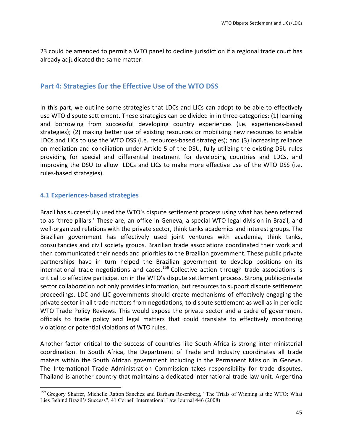23 could be amended to permit a WTO panel to decline jurisdiction if a regional trade court has already adjudicated the same matter.

# **Part 4: Strategies for the Effective Use of the WTO DSS**

In this part, we outline some strategies that LDCs and LICs can adopt to be able to effectively use WTO dispute settlement. These strategies can be divided in in three categories: (1) learning and borrowing from successful developing country experiences (i.e. experiences-based strategies); (2) making better use of existing resources or mobilizing new resources to enable LDCs and LICs to use the WTO DSS (i.e. resources-based strategies); and (3) increasing reliance on mediation and conciliation under Article 5 of the DSU, fully utilizing the existing DSU rules providing for special and differential treatment for developing countries and LDCs, and improving the DSU to allow LDCs and LICs to make more effective use of the WTO DSS (i.e. rules-based strategies).

## **4.1 Experiences-based strategies**

<u> 1989 - Jan Samuel Barbara, margaret e</u>

Brazil has successfully used the WTO's dispute settlement process using what has been referred to as 'three pillars.' These are, an office in Geneva, a special WTO legal division in Brazil, and well-organized relations with the private sector, think tanks academics and interest groups. The Brazilian government has effectively used joint ventures with academia, think tanks, consultancies and civil society groups. Brazilian trade associations coordinated their work and then communicated their needs and priorities to the Brazilian government. These public private partnerships have in turn helped the Brazilian government to develop positions on its  $intermational trade negotiations and cases.<sup>159</sup> Collective action through trade associations is$ critical to effective participation in the WTO's dispute settlement process. Strong public-private sector collaboration not only provides information, but resources to support dispute settlement proceedings. LDC and LIC governments should create mechanisms of effectively engaging the private sector in all trade matters from negotiations, to dispute settlement as well as in periodic WTO Trade Policy Reviews. This would expose the private sector and a cadre of government officials to trade policy and legal matters that could translate to effectively monitoring violations or potential violations of WTO rules.

Another factor critical to the success of countries like South Africa is strong inter-ministerial coordination. In South Africa, the Department of Trade and Industry coordinates all trade maters within the South African government including in the Permanent Mission in Geneva. The International Trade Administration Commission takes responsibility for trade disputes. Thailand is another country that maintains a dedicated international trade law unit. Argentina

<sup>&</sup>lt;sup>159</sup> Gregory Shaffer, Michelle Ratton Sanchez and Barbara Rosenberg, "The Trials of Winning at the WTO: What Lies Behind Brazil's Success", 41 Cornell International Law Journal 446 (2008)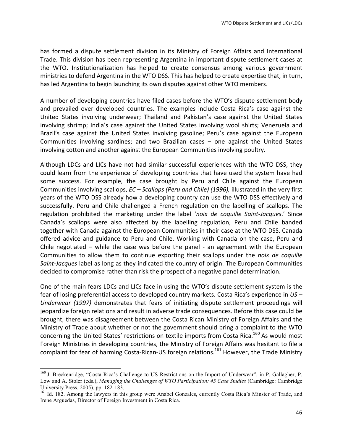has formed a dispute settlement division in its Ministry of Foreign Affairs and International Trade. This division has been representing Argentina in important dispute settlement cases at the WTO. Institutionalization has helped to create consensus among various government ministries to defend Argentina in the WTO DSS. This has helped to create expertise that, in turn, has led Argentina to begin launching its own disputes against other WTO members.

A number of developing countries have filed cases before the WTO's dispute settlement body and prevailed over developed countries. The examples include Costa Rica's case against the United States involving underwear; Thailand and Pakistan's case against the United States involving shrimp; India's case against the United States involving wool shirts; Venezuela and Brazil's case against the United States involving gasoline; Peru's case against the European Communities involving sardines; and two Brazilian cases  $-$  one against the United States involving cotton and another against the European Communities involving poultry.

Although LDCs and LICs have not had similar successful experiences with the WTO DSS, they could learn from the experience of developing countries that have used the system have had some success. For example, the case brought by Peru and Chile against the European Communities involving scallops, *EC* – *Scallops (Peru and Chile) (1996),* illustrated in the very first years of the WTO DSS already how a developing country can use the WTO DSS effectively and successfully. Peru and Chile challenged a French regulation on the labelling of scallops. The regulation prohibited the marketing under the label '*noix de coquille Saint-Jacques*.' Since Canada's scallops were also affected by the labelling regulation, Peru and Chile banded together with Canada against the European Communities in their case at the WTO DSS. Canada offered advice and guidance to Peru and Chile. Working with Canada on the case, Peru and Chile negotiated  $-$  while the case was before the panel  $-$  an agreement with the European Communities to allow them to continue exporting their scallops under the *noix de coquille Saint-Jacques* label as long as they indicated the country of origin. The European Communities decided to compromise rather than risk the prospect of a negative panel determination.

One of the main fears LDCs and LICs face in using the WTO's dispute settlement system is the fear of losing preferential access to developed country markets. Costa Rica's experience in US -*Underwear* (1997) demonstrates that fears of initiating dispute settlement proceedings will jeopardize foreign relations and result in adverse trade consequences. Before this case could be brought, there was disagreement between the Costa Rican Ministry of Foreign Affairs and the Ministry of Trade about whether or not the government should bring a complaint to the WTO concerning the United States' restrictions on textile imports from Costa Rica.<sup>160</sup> As would most Foreign Ministries in developing countries, the Ministry of Foreign Affairs was hesitant to file a complaint for fear of harming Costa-Rican-US foreign relations.<sup>161</sup> However, the Trade Ministry

<sup>&</sup>lt;sup>160</sup> J. Breckenridge, "Costa Rica's Challenge to US Restrictions on the Import of Underwear", in P. Gallagher, P. Low and A. Stoler (eds.), *Managing the Challenges of WTO Participation: 45 Case Studies* (Cambridge: Cambridge University Press, 2005), pp. 182-183.<br><sup>161</sup> Id. 182. Among the lawyers in this group were Anabel Gonzales, currently Costa Rica's Minster of Trade, and

Irene Arguedas, Director of Foreign Investment in Costa Rica.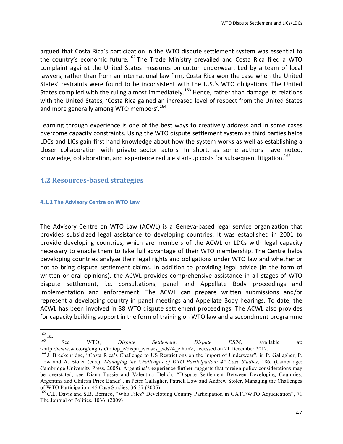argued that Costa Rica's participation in the WTO dispute settlement system was essential to the country's economic future.<sup>162</sup> The Trade Ministry prevailed and Costa Rica filed a WTO complaint against the United States measures on cotton underwear. Led by a team of local lawyers, rather than from an international law firm, Costa Rica won the case when the United States' restraints were found to be inconsistent with the U.S.'s WTO obligations. The United States complied with the ruling almost immediately.<sup>163</sup> Hence, rather than damage its relations with the United States, 'Costa Rica gained an increased level of respect from the United States and more generally among WTO members'.<sup>164</sup>

Learning through experience is one of the best ways to creatively address and in some cases overcome capacity constraints. Using the WTO dispute settlement system as third parties helps LDCs and LICs gain first hand knowledge about how the system works as well as establishing a closer collaboration with private sector actors. In short, as some authors have noted, knowledge, collaboration, and experience reduce start-up costs for subsequent litigation.<sup>165</sup>

# **4.2 Resources-based strategies**

#### **4.1.1 The Advisory Centre on WTO Law**

The Advisory Centre on WTO Law (ACWL) is a Geneva-based legal service organization that provides subsidized legal assistance to developing countries. It was established in 2001 to provide developing countries, which are members of the ACWL or LDCs with legal capacity necessary to enable them to take full advantage of their WTO membership. The Centre helps developing countries analyse their legal rights and obligations under WTO law and whether or not to bring dispute settlement claims. In addition to providing legal advice (in the form of written or oral opinions), the ACWL provides comprehensive assistance in all stages of WTO dispute settlement, i.e. consultations, panel and Appellate Body proceedings and implementation and enforcement. The ACWL can prepare written submissions and/or represent a developing country in panel meetings and Appellate Body hearings. To date, the ACWL has been involved in 38 WTO dispute settlement proceedings. The ACWL also provides for capacity building support in the form of training on WTO law and a secondment programme

<sup>&</sup>lt;u> 1989 - Jan Samuel Barbara, margaret e</u>

<sup>162</sup> Id. <sup>163</sup> See WTO, *Dispute Settlement: Dispute DS24*, available at: <http://www.wto.org/english/tratop\_e/dispu\_e/cases\_e/ds24\_e.htm>, accessed on 21 December 2012. <sup>164</sup> J. Breckenridge, "Costa Rica's Challenge to US Restrictions on the Import of Underwear", in P. Gallagher, P.

Low and A. Stoler (eds.), *Managing the Challenges of WTO Participation: 45 Case Studies*, 186, (Cambridge: Cambridge University Press, 2005). Argentina's experience further suggests that foreign policy considerations may be overstated, see Diana Tussie and Valentina Delich, "Dispute Settlement Between Developing Countries: Argentina and Chilean Price Bands", in Peter Gallagher, Patrick Low and Andrew Stoler, Managing the Challenges of WTO Participation: 45 Case Studies, 36-37 (2005)<br><sup>165</sup> C.L. Davis and S.B. Bermeo, "Who Files? Developing Country Participation in GATT/WTO Adjudication", 71

The Journal of Politics, 1036 (2009)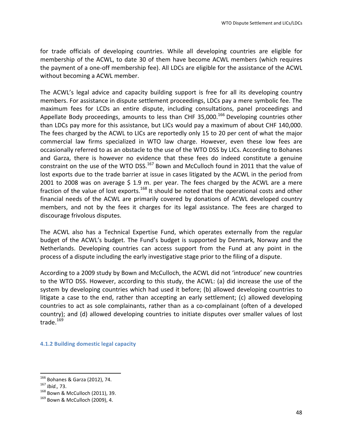for trade officials of developing countries. While all developing countries are eligible for membership of the ACWL, to date 30 of them have become ACWL members (which requires the payment of a one-off membership fee). All LDCs are eligible for the assistance of the ACWL without becoming a ACWL member.

The ACWL's legal advice and capacity building support is free for all its developing country members. For assistance in dispute settlement proceedings, LDCs pay a mere symbolic fee. The maximum fees for LCDs an entire dispute, including consultations, panel proceedings and Appellate Body proceedings, amounts to less than CHF 35,000.<sup>166</sup> Developing countries other than LDCs pay more for this assistance, but LICs would pay a maximum of about CHF 140,000. The fees charged by the ACWL to LICs are reportedly only 15 to 20 per cent of what the major commercial law firms specialized in WTO law charge. However, even these low fees are occasionally referred to as an obstacle to the use of the WTO DSS by LICs. According to Bohanes and Garza, there is however no evidence that these fees do indeed constitute a genuine constraint on the use of the WTO DSS.<sup>167</sup> Bown and McCulloch found in 2011 that the value of lost exports due to the trade barrier at issue in cases litigated by the ACWL in the period from 2001 to 2008 was on average  $$ 1.9$  m. per year. The fees charged by the ACWL are a mere fraction of the value of lost exports.<sup>168</sup> It should be noted that the operational costs and other financial needs of the ACWL are primarily covered by donations of ACWL developed country members, and not by the fees it charges for its legal assistance. The fees are charged to discourage frivolous disputes.

The ACWL also has a Technical Expertise Fund, which operates externally from the regular budget of the ACWL's budget. The Fund's budget is supported by Denmark, Norway and the Netherlands. Developing countries can access support from the Fund at any point in the process of a dispute including the early investigative stage prior to the filing of a dispute.

According to a 2009 study by Bown and McCulloch, the ACWL did not 'introduce' new countries to the WTO DSS. However, according to this study, the ACWL: (a) did increase the use of the system by developing countries which had used it before; (b) allowed developing countries to litigate a case to the end, rather than accepting an early settlement; (c) allowed developing countries to act as sole complainants, rather than as a co-complainant (often of a developed country); and (d) allowed developing countries to initiate disputes over smaller values of lost trade.<sup>169</sup>

**4.1.2 Building domestic legal capacity**

<sup>&</sup>lt;sup>166</sup> Bohanes & Garza (2012), 74.<br><sup>167</sup> *Ibid.,* 73.<br><sup>168</sup> Bown & McCulloch (2011), 39.<br><sup>169</sup> Bown & McCulloch (2009), 4.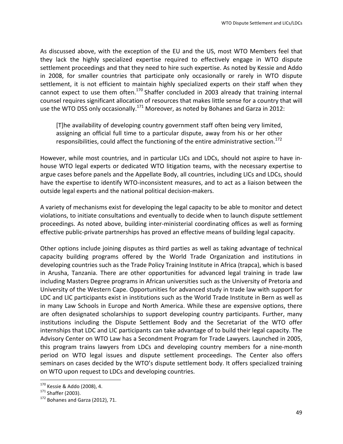As discussed above, with the exception of the EU and the US, most WTO Members feel that they lack the highly specialized expertise required to effectively engage in WTO dispute settlement proceedings and that they need to hire such expertise. As noted by Kessie and Addo in 2008, for smaller countries that participate only occasionally or rarely in WTO dispute settlement, it is not efficient to maintain highly specialized experts on their staff when they cannot expect to use them often. $170$  Shaffer concluded in 2003 already that training internal counsel requires significant allocation of resources that makes little sense for a country that will use the WTO DSS only occasionally.<sup>171</sup> Moreover, as noted by Bohanes and Garza in 2012:

[T]he availability of developing country government staff often being very limited, assigning an official full time to a particular dispute, away from his or her other responsibilities, could affect the functioning of the entire administrative section.<sup>172</sup>

However, while most countries, and in particular LICs and LDCs, should not aspire to have inhouse WTO legal experts or dedicated WTO litigation teams, with the necessary expertise to argue cases before panels and the Appellate Body, all countries, including LICs and LDCs, should have the expertise to identify WTO-inconsistent measures, and to act as a liaison between the outside legal experts and the national political decision-makers.

A variety of mechanisms exist for developing the legal capacity to be able to monitor and detect violations, to initiate consultations and eventually to decide when to launch dispute settlement proceedings. As noted above, building inter-ministerial coordinating offices as well as forming effective public-private partnerships has proved an effective means of building legal capacity.

Other options include joining disputes as third parties as well as taking advantage of technical capacity building programs offered by the World Trade Organization and institutions in developing countries such as the Trade Policy Training Institute in Africa (trapca), which is based in Arusha, Tanzania. There are other opportunities for advanced legal training in trade law including Masters Degree programs in African universities such as the University of Pretoria and University of the Western Cape. Opportunities for advanced study in trade law with support for LDC and LIC participants exist in institutions such as the World Trade Institute in Bern as well as in many Law Schools in Europe and North America. While these are expensive options, there are often designated scholarships to support developing country participants. Further, many institutions including the Dispute Settlement Body and the Secretariat of the WTO offer internships that LDC and LIC participants can take advantage of to build their legal capacity. The Advisory Center on WTO Law has a Secondment Program for Trade Lawyers. Launched in 2005, this program trains lawyers from LDCs and developing country members for a nine-month period on WTO legal issues and dispute settlement proceedings. The Center also offers seminars on cases decided by the WTO's dispute settlement body. It offers specialized training on WTO upon request to LDCs and developing countries.

<sup>&</sup>lt;sup>170</sup> Kessie & Addo (2008), 4.

 $171$  Shaffer (2003).<br> $172$  Bohanes and Garza (2012), 71.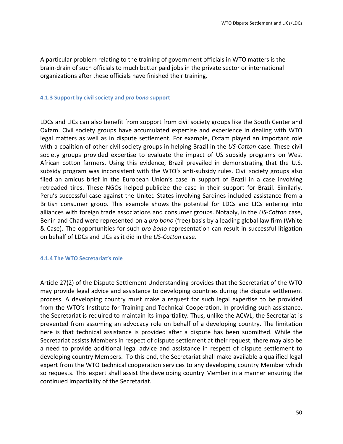A particular problem relating to the training of government officials in WTO matters is the brain-drain of such officials to much better paid jobs in the private sector or international organizations after these officials have finished their training.

#### **4.1.3 Support by civil society and** *pro bono* **support**

LDCs and LICs can also benefit from support from civil society groups like the South Center and Oxfam. Civil society groups have accumulated expertise and experience in dealing with WTO legal matters as well as in dispute settlement. For example, Oxfam played an important role with a coalition of other civil society groups in helping Brazil in the US-Cotton case. These civil society groups provided expertise to evaluate the impact of US subsidy programs on West African cotton farmers. Using this evidence, Brazil prevailed in demonstrating that the U.S. subsidy program was inconsistent with the WTO's anti-subsidy rules. Civil society groups also filed an amicus brief in the European Union's case in support of Brazil in a case involving retreaded tires. These NGOs helped publicize the case in their support for Brazil. Similarly, Peru's successful case against the United States involving Sardines included assistance from a British consumer group. This example shows the potential for LDCs and LICs entering into alliances with foreign trade associations and consumer groups. Notably, in the US-Cotton case, Benin and Chad were represented on a *pro bono* (free) basis by a leading global law firm (White & Case). The opportunities for such *pro bono* representation can result in successful litigation on behalf of LDCs and LICs as it did in the *US-Cotton* case.

#### **4.1.4 The WTO Secretariat's role**

Article 27(2) of the Dispute Settlement Understanding provides that the Secretariat of the WTO may provide legal advice and assistance to developing countries during the dispute settlement process. A developing country must make a request for such legal expertise to be provided from the WTO's Institute for Training and Technical Cooperation. In providing such assistance, the Secretariat is required to maintain its impartiality. Thus, unlike the ACWL, the Secretariat is prevented from assuming an advocacy role on behalf of a developing country. The limitation here is that technical assistance is provided after a dispute has been submitted. While the Secretariat assists Members in respect of dispute settlement at their request, there may also be a need to provide additional legal advice and assistance in respect of dispute settlement to developing country Members. To this end, the Secretariat shall make available a qualified legal expert from the WTO technical cooperation services to any developing country Member which so requests. This expert shall assist the developing country Member in a manner ensuring the continued impartiality of the Secretariat.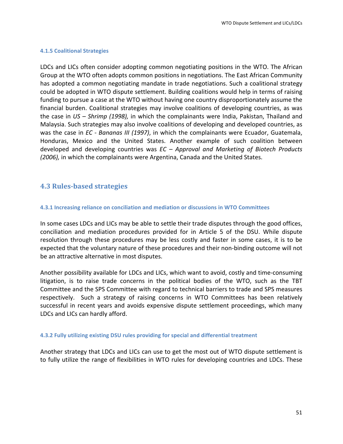#### **4.1.5 Coalitional Strategies**

LDCs and LICs often consider adopting common negotiating positions in the WTO. The African Group at the WTO often adopts common positions in negotiations. The East African Community has adopted a common negotiating mandate in trade negotiations. Such a coalitional strategy could be adopted in WTO dispute settlement. Building coalitions would help in terms of raising funding to pursue a case at the WTO without having one country disproportionately assume the financial burden. Coalitional strategies may involve coalitions of developing countries, as was the case in *US* – *Shrimp* (1998), in which the complainants were India, Pakistan, Thailand and Malaysia. Such strategies may also involve coalitions of developing and developed countries, as was the case in *EC* - *Bananas III* (1997), in which the complainants were Ecuador, Guatemala, Honduras, Mexico and the United States. Another example of such coalition between developed and developing countries was *EC* – *Approval and Marketing of Biotech Products* (2006), in which the complainants were Argentina, Canada and the United States.

## **4.3 Rules-based strategies**

#### **4.3.1 Increasing reliance on conciliation and mediation or discussions in WTO Committees**

In some cases LDCs and LICs may be able to settle their trade disputes through the good offices, conciliation and mediation procedures provided for in Article 5 of the DSU. While dispute resolution through these procedures may be less costly and faster in some cases, it is to be expected that the voluntary nature of these procedures and their non-binding outcome will not be an attractive alternative in most disputes.

Another possibility available for LDCs and LICs, which want to avoid, costly and time-consuming litigation, is to raise trade concerns in the political bodies of the WTO, such as the TBT Committee and the SPS Committee with regard to technical barriers to trade and SPS measures respectively. Such a strategy of raising concerns in WTO Committees has been relatively successful in recent years and avoids expensive dispute settlement proceedings, which many LDCs and LICs can hardly afford.

#### **4.3.2 Fully utilizing existing DSU rules providing for special and differential treatment**

Another strategy that LDCs and LICs can use to get the most out of WTO dispute settlement is to fully utilize the range of flexibilities in WTO rules for developing countries and LDCs. These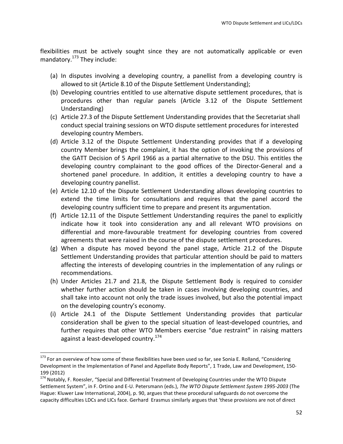flexibilities must be actively sought since they are not automatically applicable or even mandatory. $173$  They include:

- (a) In disputes involving a developing country, a panellist from a developing country is allowed to sit (Article 8.10 of the Dispute Settlement Understanding);
- (b) Developing countries entitled to use alternative dispute settlement procedures, that is procedures other than regular panels (Article 3.12 of the Dispute Settlement Understanding)
- (c) Article 27.3 of the Dispute Settlement Understanding provides that the Secretariat shall conduct special training sessions on WTO dispute settlement procedures for interested developing country Members.
- (d) Article 3.12 of the Dispute Settlement Understanding provides that if a developing country Member brings the complaint, it has the option of invoking the provisions of the GATT Decision of 5 April 1966 as a partial alternative to the DSU. This entitles the developing country complainant to the good offices of the Director-General and a shortened panel procedure. In addition, it entitles a developing country to have a developing country panellist.
- (e) Article 12.10 of the Dispute Settlement Understanding allows developing countries to extend the time limits for consultations and requires that the panel accord the developing country sufficient time to prepare and present its argumentation.
- (f) Article 12.11 of the Dispute Settlement Understanding requires the panel to explicitly indicate how it took into consideration any and all relevant WTO provisions on differential and more-favourable treatment for developing countries from covered agreements that were raised in the course of the dispute settlement procedures.
- (g) When a dispute has moved beyond the panel stage, Article 21.2 of the Dispute Settlement Understanding provides that particular attention should be paid to matters affecting the interests of developing countries in the implementation of any rulings or recommendations.
- (h) Under Articles 21.7 and 21.8, the Dispute Settlement Body is required to consider whether further action should be taken in cases involving developing countries, and shall take into account not only the trade issues involved, but also the potential impact on the developing country's economy.
- (i) Article 24.1 of the Dispute Settlement Understanding provides that particular consideration shall be given to the special situation of least-developed countries, and further requires that other WTO Members exercise "due restraint" in raising matters against a least-developed country.<sup>174</sup>

 

<sup>&</sup>lt;sup>173</sup> For an overview of how some of these flexibilities have been used so far, see Sonia E. Rolland, "Considering Development in the Implementation of Panel and Appellate Body Reports", 1 Trade, Law and Development, 150-199 (2012) 

<sup>&</sup>lt;sup>174</sup> Notably, F. Roessler, "Special and Differential Treatment of Developing Countries under the WTO Dispute Settlement System", in F. Ortino and E-U. Petersmann (eds.), The WTO Dispute Settlement System 1995-2003 (The Hague: Kluwer Law International, 2004), p. 90, argues that these procedural safeguards do not overcome the capacity difficulties LDCs and LICs face. Gerhard Erasmus similarly argues that 'these provisions are not of direct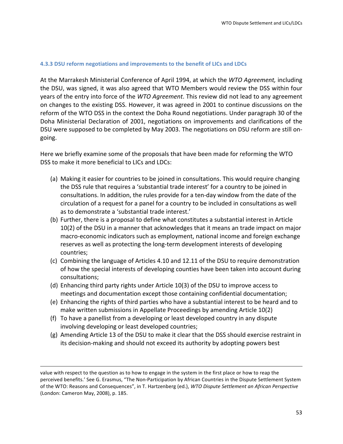#### **4.3.3 DSU reform negotiations and improvements to the benefit of LICs and LDCs**

At the Marrakesh Ministerial Conference of April 1994, at which the WTO Agreement, including the DSU, was signed, it was also agreed that WTO Members would review the DSS within four years of the entry into force of the *WTO Agreement*. This review did not lead to any agreement on changes to the existing DSS. However, it was agreed in 2001 to continue discussions on the reform of the WTO DSS in the context the Doha Round negotiations. Under paragraph 30 of the Doha Ministerial Declaration of 2001, negotiations on improvements and clarifications of the DSU were supposed to be completed by May 2003. The negotiations on DSU reform are still ongoing.

Here we briefly examine some of the proposals that have been made for reforming the WTO DSS to make it more beneficial to LICs and LDCs:

- (a) Making it easier for countries to be joined in consultations. This would require changing the DSS rule that requires a 'substantial trade interest' for a country to be joined in consultations. In addition, the rules provide for a ten-day window from the date of the circulation of a request for a panel for a country to be included in consultations as well as to demonstrate a 'substantial trade interest.'
- (b) Further, there is a proposal to define what constitutes a substantial interest in Article 10(2) of the DSU in a manner that acknowledges that it means an trade impact on major macro-economic indicators such as employment, national income and foreign exchange reserves as well as protecting the long-term development interests of developing countries;
- (c) Combining the language of Articles 4.10 and 12.11 of the DSU to require demonstration of how the special interests of developing counties have been taken into account during consultations;
- (d) Enhancing third party rights under Article  $10(3)$  of the DSU to improve access to meetings and documentation except those containing confidential documentation;
- (e) Enhancing the rights of third parties who have a substantial interest to be heard and to make written submissions in Appellate Proceedings by amending Article 10(2)
- (f) To have a panellist from a developing or least developed country in any dispute involving developing or least developed countries;
- $(g)$  Amending Article 13 of the DSU to make it clear that the DSS should exercise restraint in its decision-making and should not exceed its authority by adopting powers best

<u> 1989 - Andrea Santa Andrea Andrea Andrea Andrea Andrea Andrea Andrea Andrea Andrea Andrea Andrea Andrea Andr</u>

value with respect to the question as to how to engage in the system in the first place or how to reap the perceived benefits.' See G. Erasmus, "The Non-Participation by African Countries in the Dispute Settlement System of the WTO: Reasons and Consequences", in T. Hartzenberg (ed.), *WTO Dispute Settlement an African Perspective* (London: Cameron May, 2008), p. 185.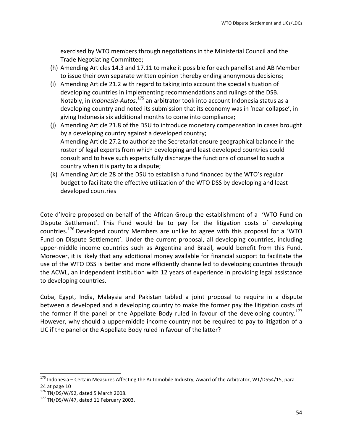exercised by WTO members through negotiations in the Ministerial Council and the Trade Negotiating Committee;

- (h) Amending Articles 14.3 and 17.11 to make it possible for each panellist and AB Member to issue their own separate written opinion thereby ending anonymous decisions;
- (i) Amending Article 21.2 with regard to taking into account the special situation of developing countries in implementing recommendations and rulings of the DSB. Notably, in *Indonesia-Autos*,<sup>175</sup> an arbitrator took into account Indonesia status as a developing country and noted its submission that its economy was in 'near collapse', in giving Indonesia six additional months to come into compliance;
- (i) Amending Article 21.8 of the DSU to introduce monetary compensation in cases brought by a developing country against a developed country; Amending Article 27.2 to authorize the Secretariat ensure geographical balance in the roster of legal experts from which developing and least developed countries could consult and to have such experts fully discharge the functions of counsel to such a country when it is party to a dispute;
- (k) Amending Article 28 of the DSU to establish a fund financed by the WTO's regular budget to facilitate the effective utilization of the WTO DSS by developing and least developed countries

Cote d'Ivoire proposed on behalf of the African Group the establishment of a 'WTO Fund on Dispute Settlement'. This Fund would be to pay for the litigation costs of developing countries.<sup>176</sup> Developed country Members are unlike to agree with this proposal for a 'WTO Fund on Dispute Settlement'. Under the current proposal, all developing countries, including upper-middle income countries such as Argentina and Brazil, would benefit from this Fund. Moreover, it is likely that any additional money available for financial support to facilitate the use of the WTO DSS is better and more efficiently channelled to developing countries through the ACWL, an independent institution with 12 years of experience in providing legal assistance to developing countries.

Cuba, Egypt, India, Malaysia and Pakistan tabled a joint proposal to require in a dispute between a developed and a developing country to make the former pay the litigation costs of the former if the panel or the Appellate Body ruled in favour of the developing country.<sup>177</sup> However, why should a upper-middle income country not be required to pay to litigation of a LIC if the panel or the Appellate Body ruled in favour of the latter?

 $175$  Indonesia – Certain Measures Affecting the Automobile Industry, Award of the Arbitrator, WT/DS54/15, para. 24 at page 10<br> $^{176}$  TN/DS/W/92, dated 5 March 2008.

 $177$  TN/DS/W/47, dated 11 February 2003.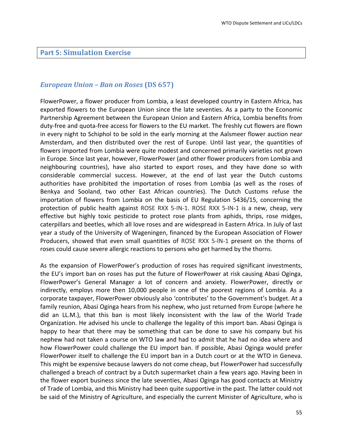#### **Part 5: Simulation Exercise**

## *European Union – Ban on Roses* **(DS 657)**

FlowerPower, a flower producer from Lombia, a least developed country in Eastern Africa, has exported flowers to the European Union since the late seventies. As a party to the Economic Partnership Agreement between the European Union and Eastern Africa, Lombia benefits from duty-free and quota-free access for flowers to the EU market. The freshly cut flowers are flown in every night to Schiphol to be sold in the early morning at the Aalsmeer flower auction near Amsterdam, and then distributed over the rest of Europe. Until last year, the quantities of flowers imported from Lombia were quite modest and concerned primarily varieties not grown in Europe. Since last year, however, FlowerPower (and other flower producers from Lombia and neighbouring countries), have also started to export roses, and they have done so with considerable commercial success. However, at the end of last year the Dutch customs authorities have prohibited the importation of roses from Lombia (as well as the roses of Benkya and Sooland, two other East African countries). The Dutch Customs refuse the importation of flowers from Lombia on the basis of EU Regulation 5436/15, concerning the protection of public health against ROSE RXX 5-IN-1. ROSE RXX 5-IN-1 is a new, cheap, very effective but highly toxic pesticide to protect rose plants from aphids, thrips, rose midges, caterpillars and beetles, which all love roses and are widespread in Eastern Africa. In July of last year a study of the University of Wageningen, financed by the European Association of Flower Producers, showed that even small quantities of ROSE RXX 5-IN-1 present on the thorns of roses could cause severe allergic reactions to persons who get harmed by the thorns.

As the expansion of FlowerPower's production of roses has required significant investments, the EU's import ban on roses has put the future of FlowerPower at risk causing Abasi Oginga, FlowerPower's General Manager a lot of concern and anxiety. FlowerPower, directly or indirectly, employs more then 10,000 people in one of the poorest regions of Lombia. As a corporate taxpayer, FlowerPower obviously also 'contributes' to the Government's budget. At a family reunion, Abasi Oginga hears from his nephew, who just returned from Europe (where he did an LL.M.), that this ban is most likely inconsistent with the law of the World Trade Organization. He advised his uncle to challenge the legality of this import ban. Abasi Oginga is happy to hear that there may be something that can be done to save his company but his nephew had not taken a course on WTO law and had to admit that he had no idea where and how FlowerPower could challenge the EU import ban. If possible, Abasi Oginga would prefer FlowerPower itself to challenge the EU import ban in a Dutch court or at the WTO in Geneva. This might be expensive because lawyers do not come cheap, but FlowerPower had successfully challenged a breach of contract by a Dutch supermarket chain a few years ago. Having been in the flower export business since the late seventies, Abasi Oginga has good contacts at Ministry of Trade of Lombia, and this Ministry had been quite supportive in the past. The latter could not be said of the Ministry of Agriculture, and especially the current Minister of Agriculture, who is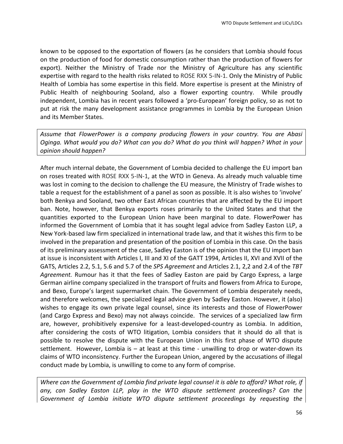known to be opposed to the exportation of flowers (as he considers that Lombia should focus on the production of food for domestic consumption rather than the production of flowers for export). Neither the Ministry of Trade nor the Ministry of Agriculture has any scientific expertise with regard to the health risks related to ROSE RXX 5-IN-1. Only the Ministry of Public Health of Lombia has some expertise in this field. More expertise is present at the Ministry of Public Health of neighbouring Sooland, also a flower exporting country. While proudly independent, Lombia has in recent years followed a 'pro-European' foreign policy, so as not to put at risk the many development assistance programmes in Lombia by the European Union and its Member States.

Assume that FlowerPower is a company producing flowers in your country. You are Abasi *Oginga.* What would you do? What can you do? What do you think will happen? What in your *opinion should happen?*

After much internal debate, the Government of Lombia decided to challenge the EU import ban on roses treated with ROSE RXX 5-IN-1, at the WTO in Geneva. As already much valuable time was lost in coming to the decision to challenge the EU measure, the Ministry of Trade wishes to table a request for the establishment of a panel as soon as possible. It is also wishes to 'involve' both Benkya and Sooland, two other East African countries that are affected by the EU import ban. Note, however, that Benkya exports roses primarily to the United States and that the quantities exported to the European Union have been marginal to date. FlowerPower has informed the Government of Lombia that it has sought legal advice from Sadley Easton LLP, a New York-based law firm specialized in international trade law, and that it wishes this firm to be involved in the preparation and presentation of the position of Lombia in this case. On the basis of its preliminary assessment of the case, Sadley Easton is of the opinion that the EU import ban at issue is inconsistent with Articles I, III and XI of the GATT 1994, Articles II, XVI and XVII of the GATS, Articles 2.2, 5.1, 5.6 and 5.7 of the *SPS Agreement* and Articles 2.1, 2,2 and 2.4 of the *TBT* Agreement. Rumour has it that the fees of Sadley Easton are paid by Cargo Express, a large German airline company specialized in the transport of fruits and flowers from Africa to Europe, and Bexo, Europe's largest supermarket chain. The Government of Lombia desperately needs, and therefore welcomes, the specialized legal advice given by Sadley Easton. However, it (also) wishes to engage its own private legal counsel, since its interests and those of FlowerPower (and Cargo Express and Bexo) may not always coincide. The services of a specialized law firm are, however, prohibitively expensive for a least-developed-country as Lombia. In addition, after considering the costs of WTO litigation, Lombia considers that it should do all that is possible to resolve the dispute with the European Union in this first phase of WTO dispute settlement. However, Lombia is  $-$  at least at this time - unwilling to drop or water-down its claims of WTO inconsistency. Further the European Union, angered by the accusations of illegal conduct made by Lombia, is unwilling to come to any form of comprise.

*Where can the Government of Lombia find private legal counsel it is able to afford? What role, if* any, can Sadley Easton LLP, play in the WTO dispute settlement proceedings? Can the Government of Lombia initiate WTO dispute settlement proceedings by requesting the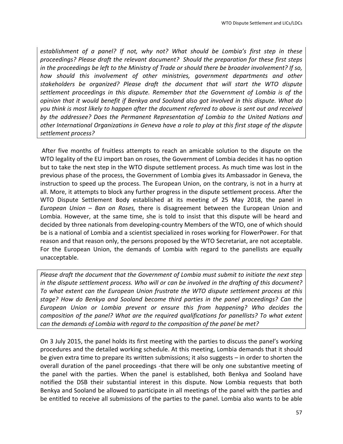*establishment* of *a* panel? If not, why not? What should be Lombia's first step in these proceedings? Please draft the relevant document? Should the preparation for these first steps *in the proceedings be left to the Ministry of Trade or should there be broader involvement? If so,* how should this involvement of other ministries, government departments and other stakeholders be organized? Please draft the document that will start the WTO dispute settlement proceedings in this dispute. Remember that the Government of Lombia is of the *opinion that it would benefit if Benkya and Sooland also got involved in this dispute. What do* you think is most likely to happen after the document referred to above is sent out and received by the addressee? Does the Permanent Representation of Lombia to the United Nations and other International Organizations in Geneva have a role to play at this first stage of the dispute *settlement process?*

After five months of fruitless attempts to reach an amicable solution to the dispute on the WTO legality of the EU import ban on roses, the Government of Lombia decides it has no option but to take the next step in the WTO dispute settlement process. As much time was lost in the previous phase of the process, the Government of Lombia gives its Ambassador in Geneva, the instruction to speed up the process. The European Union, on the contrary, is not in a hurry at all. More, it attempts to block any further progress in the dispute settlement process. After the WTO Dispute Settlement Body established at its meeting of 25 May 2018, the panel in *European Union* – *Ban on Roses*, there is disagreement between the European Union and Lombia. However, at the same time, she is told to insist that this dispute will be heard and decided by three nationals from developing-country Members of the WTO, one of which should be is a national of Lombia and a scientist specialized in roses working for FlowerPower. For that reason and that reason only, the persons proposed by the WTO Secretariat, are not acceptable. For the European Union, the demands of Lombia with regard to the panellists are equally unacceptable. 

*Please draft the document that the Government of Lombia must submit to initiate the next step in* the dispute settlement process. Who will or can be involved in the drafting of this document? To what extent can the European Union frustrate the WTO dispute settlement process at this stage? How do Benkya and Sooland become third parties in the panel proceedings? Can the *European Union or Lombia prevent or ensure this from happening? Who decides the composition* of the panel? What are the required qualifications for panellists? To what extent *can* the demands of Lombia with regard to the composition of the panel be met?

On 3 July 2015, the panel holds its first meeting with the parties to discuss the panel's working procedures and the detailed working schedule. At this meeting, Lombia demands that it should be given extra time to prepare its written submissions; it also suggests  $-$  in order to shorten the overall duration of the panel proceedings -that there will be only one substantive meeting of the panel with the parties. When the panel is established, both Benkya and Sooland have notified the DSB their substantial interest in this dispute. Now Lombia requests that both Benkya and Sooland be allowed to participate in all meetings of the panel with the parties and be entitled to receive all submissions of the parties to the panel. Lombia also wants to be able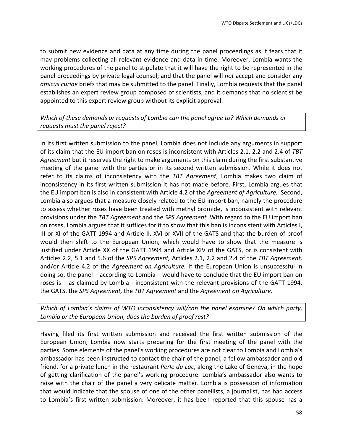to submit new evidence and data at any time during the panel proceedings as it fears that it may problems collecting all relevant evidence and data in time. Moreover, Lombia wants the working procedures of the panel to stipulate that it will have the right to be represented in the panel proceedings by private legal counsel; and that the panel will *not* accept and consider any *amicus curiae* briefs that may be submitted to the panel. Finally, Lombia requests that the panel establishes an expert review group composed of scientists, and it demands that no scientist be appointed to this expert review group without its explicit approval.

Which of these demands or requests of Lombia can the panel agree to? Which demands or requests must the panel reject?

In its first written submission to the panel, Lombia does not include any arguments in support of its claim that the EU import ban on roses is inconsistent with Articles 2.1, 2.2 and 2.4 of TBT Agreement but it reserves the right to make arguments on this claim during the first substantive meeting of the panel with the parties or in its second written submission. While it does not refer to its claims of inconsistency with the TBT Agreement, Lombia makes two claim of inconsistency in its first written submission it has not made before. First, Lombia argues that the EU import ban is also in consistent with Article 4.2 of the *Agreement of Agriculture*. Second, Lombia also argues that a measure closely related to the EU import ban, namely the procedure to assess whether roses have been treated with methyl bromide, is inconsistent with relevant provisions under the *TBT Agreement* and the *SPS Agreement*. With regard to the EU import ban on roses, Lombia argues that it suffices for it to show that this ban is inconsistent with Articles I, III or XI of the GATT 1994 and Article II, XVI or XVII of the GATS and that the burden of proof would then shift to the European Union, which would have to show that the measure is justified under Article XX of the GATT 1994 and Article XIV of the GATS, or is consistent with Articles 2.2, 5.1 and 5.6 of the *SPS Agreement*, Articles 2.1, 2.2 and 2.4 of the TBT Agreement, and/or Article 4.2 of the *Agreement on Agriculture*. If the European Union is unsuccessful in doing so, the panel – according to Lombia – would have to conclude that the EU import ban on roses is  $-$  as claimed by Lombia - inconsistent with the relevant provisions of the GATT 1994, the GATS, the *SPS Agreement*, the TBT Agreement and the Agreement on Agriculture.

*Which* of Lombia's claims of WTO inconsistency will/can the panel examine? On which party, Lombia or the European Union, does the burden of proof rest?

Having filed its first written submission and received the first written submission of the European Union, Lombia now starts preparing for the first meeting of the panel with the parties. Some elements of the panel's working procedures are not clear to Lombia and Lombia's ambassador has been instructed to contact the chair of the panel, a fellow ambassador and old friend, for a private lunch in the restaurant *Perle du Lac*, along the Lake of Geneva, in the hope of getting clarification of the panel's working procedure. Lombia's ambassador also wants to raise with the chair of the panel a very delicate matter. Lombia is possession of information that would indicate that the spouse of one of the other panellists, a journalist, has had access to Lombia's first written submission. Moreover, it has been reported that this spouse has a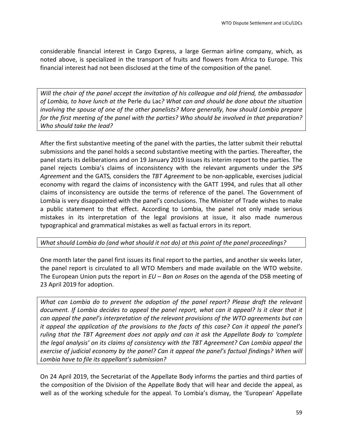considerable financial interest in Cargo Express, a large German airline company, which, as noted above, is specialized in the transport of fruits and flowers from Africa to Europe. This financial interest had not been disclosed at the time of the composition of the panel.

Will the chair of the panel accept the invitation of his colleague and old friend, the ambassador of Lombia, to have lunch at the Perle du Lac? What can and should be done about the situation *involving* the spouse of one of the other panelists? More generally, how should Lombia prepare for the first meeting of the panel with the parties? Who should be involved in that preparation? Who should take the lead?

After the first substantive meeting of the panel with the parties, the latter submit their rebuttal submissions and the panel holds a second substantive meeting with the parties. Thereafter, the panel starts its deliberations and on 19 January 2019 issues its interim report to the parties. The panel rejects Lombia's claims of inconsistency with the relevant arguments under the *SPS* Agreement and the GATS, considers the TBT Agreement to be non-applicable, exercises judicial economy with regard the claims of inconsistency with the GATT 1994, and rules that all other claims of inconsistency are outside the terms of reference of the panel. The Government of Lombia is very disappointed with the panel's conclusions. The Minister of Trade wishes to make a public statement to that effect. According to Lombia, the panel not only made serious mistakes in its interpretation of the legal provisions at issue, it also made numerous typographical and grammatical mistakes as well as factual errors in its report.

## *What should Lombia do (and what should it not do)* at this point of the panel proceedings?

One month later the panel first issues its final report to the parties, and another six weeks later, the panel report is circulated to all WTO Members and made available on the WTO website. The European Union puts the report in *EU* – *Ban on Roses* on the agenda of the DSB meeting of 23 April 2019 for adoption.

*What can Lombia do to prevent the adoption of the panel report? Please draft the relevant document.* If Lombia decides to appeal the panel report, what can it appeal? Is it clear that it *can appeal the panel's interpretation of the relevant provisions of the WTO agreements but can it* appeal the application of the provisions to the facts of this case? Can it appeal the panel's *ruling* that the TBT Agreement does not apply and can it ask the Appellate Body to 'complete *the legal analysis'* on its claims of consistency with the TBT Agreement? Can Lombia appeal the exercise of judicial economy by the panel? Can it appeal the panel's factual findings? When will Lombia have to file its appellant's submission?

On 24 April 2019, the Secretariat of the Appellate Body informs the parties and third parties of the composition of the Division of the Appellate Body that will hear and decide the appeal, as well as of the working schedule for the appeal. To Lombia's dismay, the 'European' Appellate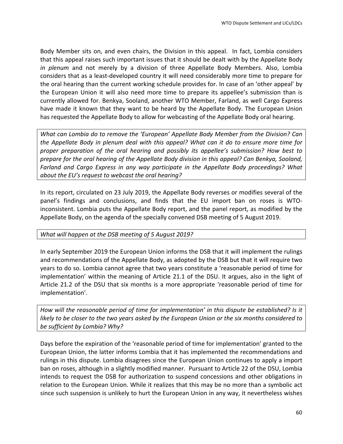Body Member sits on, and even chairs, the Division in this appeal. In fact, Lombia considers that this appeal raises such important issues that it should be dealt with by the Appellate Body *in plenum* and not merely by a division of three Appellate Body Members. Also, Lombia considers that as a least-developed country it will need considerably more time to prepare for the oral hearing than the current working schedule provides for. In case of an 'other appeal' by the European Union it will also need more time to prepare its appellee's submission than is currently allowed for. Benkya, Sooland, another WTO Member, Farland, as well Cargo Express have made it known that they want to be heard by the Appellate Body. The European Union has requested the Appellate Body to allow for webcasting of the Appellate Body oral hearing.

*What can Lombia do to remove the 'European' Appellate Body Member from the Division? Can the Appellate Body in plenum deal with this appeal? What can it do to ensure more time for proper* preparation of the oral hearing and possibly its appellee's submission? How best to *prepare for the oral hearing of the Appellate Body division in this appeal? Can Benkya, Sooland,* Farland and Cargo Express in any way participate in the Appellate Body proceedings? What about the EU's request to webcast the oral hearing?

In its report, circulated on 23 July 2019, the Appellate Body reverses or modifies several of the panel's findings and conclusions, and finds that the EU import ban on roses is WTOinconsistent. Lombia puts the Appellate Body report, and the panel report, as modified by the Appellate Body, on the agenda of the specially convened DSB meeting of 5 August 2019.

#### What will happen at the DSB meeting of 5 August 2019?

In early September 2019 the European Union informs the DSB that it will implement the rulings and recommendations of the Appellate Body, as adopted by the DSB but that it will require two years to do so. Lombia cannot agree that two years constitute a 'reasonable period of time for implementation' within the meaning of Article 21.1 of the DSU. It argues, also in the light of Article 21.2 of the DSU that six months is a more appropriate 'reasonable period of time for implementation'.

*How* will the reasonable period of time for implementation' in this dispute be established? Is it *likely* to be closer to the two years asked by the European Union or the six months considered to be sufficient by Lombia? Why?

Days before the expiration of the 'reasonable period of time for implementation' granted to the European Union, the latter informs Lombia that it has implemented the recommendations and rulings in this dispute. Lombia disagrees since the European Union continues to apply a import ban on roses, although in a slightly modified manner. Pursuant to Article 22 of the DSU, Lombia intends to request the DSB for authorization to suspend concessions and other obligations in relation to the European Union. While it realizes that this may be no more than a symbolic act since such suspension is unlikely to hurt the European Union in any way, it nevertheless wishes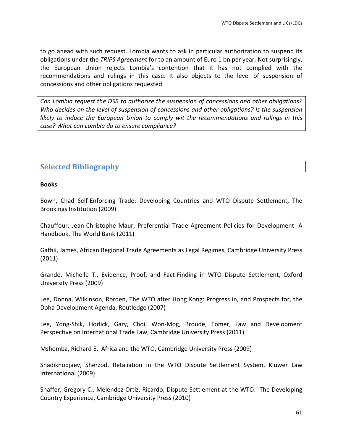to go ahead with such request. Lombia wants to ask in particular authorization to suspend its obligations under the *TRIPS Agreement* for to an amount of Euro 1 bn per year. Not surprisingly, the European Union rejects Lombia's contention that it has not complied with the recommendations and rulings in this case. It also objects to the level of suspension of concessions and other obligations requested.

Can Lombia request the DSB to authorize the suspension of concessions and other obligations? *Who decides on the level of suspension of concessions and other obligations? Is the suspension likely* to *induce the European Union to comply wit the recommendations and rulings in this* case? What can Lombia do to ensure compliance?

# **Selected Bibliography**

#### **Books**

Bown, Chad Self-Enforcing Trade: Developing Countries and WTO Dispute Settlement, The Brookings Institution (2009)

Chauffour, Jean-Christophe Maur, Preferential Trade Agreement Policies for Development: A Handbook, The World Bank (2011)

Gathii, James, African Regional Trade Agreements as Legal Regimes, Cambridge University Press (2011)

Grando, Michelle T., Evidence, Proof, and Fact-Finding in WTO Dispute Settlement, Oxford University Press (2009)

Lee, Donna, Wilkinson, Rorden, The WTO after Hong Kong: Progress in, and Prospects for, the Doha Development Agenda, Routledge (2007)

Lee, Yong-Shik, Horlick, Gary, Choi, Won-Mog, Broude, Tomer, Law and Development Perspective on International Trade Law, Cambridge University Press (2011)

Mshomba, Richard E. Africa and the WTO, Cambridge University Press (2009)

Shadikhodiaev, Sherzod, Retaliation in the WTO Dispute Settlement System, Kluwer Law International (2009)

Shaffer, Gregory C., Melendez-Ortiz, Ricardo, Dispute Settlement at the WTO: The Developing Country Experience, Cambridge University Press (2010)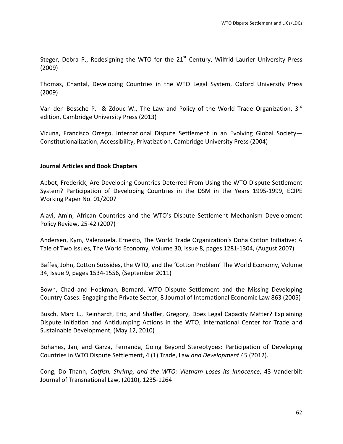Steger, Debra P., Redesigning the WTO for the  $21<sup>st</sup>$  Century, Wilfrid Laurier University Press (2009)

Thomas, Chantal, Developing Countries in the WTO Legal System, Oxford University Press (2009)

Van den Bossche P. & Zdouc W., The Law and Policy of the World Trade Organization, 3rd edition, Cambridge University Press (2013)

Vicuna, Francisco Orrego, International Dispute Settlement in an Evolving Global Society-Constitutionalization, Accessibility, Privatization, Cambridge University Press (2004)

#### **Journal Articles and Book Chapters**

Abbot, Frederick, Are Developing Countries Deterred From Using the WTO Dispute Settlement System? Participation of Developing Countries in the DSM in the Years 1995-1999, ECIPE Working Paper No. 01/2007

Alavi, Amin, African Countries and the WTO's Dispute Settlement Mechanism Development Policy Review, 25-42 (2007)

Andersen, Kym, Valenzuela, Ernesto, The World Trade Organization's Doha Cotton Initiative: A Tale of Two Issues, The World Economy, Volume 30, Issue 8, pages 1281-1304, (August 2007)

Baffes, John, Cotton Subsides, the WTO, and the 'Cotton Problem' The World Economy, Volume 34, Issue 9, pages 1534-1556, (September 2011)

Bown, Chad and Hoekman, Bernard, WTO Dispute Settlement and the Missing Developing Country Cases: Engaging the Private Sector, 8 Journal of International Economic Law 863 (2005)

Busch, Marc L., Reinhardt, Eric, and Shaffer, Gregory, Does Legal Capacity Matter? Explaining Dispute Initiation and Antidumping Actions in the WTO, International Center for Trade and Sustainable Development, (May 12, 2010)

Bohanes, Jan, and Garza, Fernanda, Going Beyond Stereotypes: Participation of Developing Countries in WTO Dispute Settlement, 4 (1) Trade, Law and Development 45 (2012).

Cong, Do Thanh, *Catfish, Shrimp, and the WTO: Vietnam Loses its Innocence*, 43 Vanderbilt Journal of Transnational Law, (2010), 1235-1264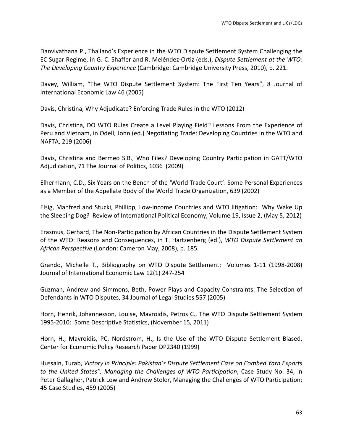Danvivathana P., Thailand's Experience in the WTO Dispute Settlement System Challenging the EC Sugar Regime, in G. C. Shaffer and R. Meléndez-Ortiz (eds.), *Dispute Settlement at the WTO: The Developing Country Experience* (Cambridge: Cambridge University Press, 2010), p. 221.

Davey, William, "The WTO Dispute Settlement System: The First Ten Years", 8 Journal of International Economic Law 46 (2005)

Davis, Christina, Why Adjudicate? Enforcing Trade Rules in the WTO (2012)

Davis, Christina, DO WTO Rules Create a Level Playing Field? Lessons From the Experience of Peru and Vietnam, in Odell, John (ed.) Negotiating Trade: Developing Countries in the WTO and NAFTA, 219 (2006)

Davis, Christina and Bermeo S.B., Who Files? Developing Country Participation in GATT/WTO Adjudication, 71 The Journal of Politics, 1036 (2009)

Elhermann, C.D., Six Years on the Bench of the 'World Trade Court': Some Personal Experiences as a Member of the Appellate Body of the World Trade Organization, 639 (2002)

Elsig, Manfred and Stucki, Phillipp, Low-income Countries and WTO litigation: Why Wake Up the Sleeping Dog? Review of International Political Economy, Volume 19, Issue 2, (May 5, 2012)

Erasmus, Gerhard, The Non-Participation by African Countries in the Dispute Settlement System of the WTO: Reasons and Consequences, in T. Hartzenberg (ed.), *WTO Dispute Settlement an* African Perspective (London: Cameron May, 2008), p. 185.

Grando, Michelle T., Bibliography on WTO Dispute Settlement: Volumes 1-11 (1998-2008) Journal of International Economic Law 12(1) 247-254

Guzman, Andrew and Simmons, Beth, Power Plays and Capacity Constraints: The Selection of Defendants in WTO Disputes, 34 Journal of Legal Studies 557 (2005)

Horn, Henrik, Johannesson, Louise, Mavroidis, Petros C., The WTO Dispute Settlement System 1995-2010: Some Descriptive Statistics, (November 15, 2011)

Horn, H., Mavroidis, PC, Nordstrom, H., Is the Use of the WTO Dispute Settlement Biased, Center for Economic Policy Research Paper DP2340 (1999)

Hussain, Turab, Victory in Principle: Pakistan's Dispute Settlement Case on Combed Yarn Exports *to* the United States", Managing the Challenges of WTO Participation, Case Study No. 34, in Peter Gallagher, Patrick Low and Andrew Stoler, Managing the Challenges of WTO Participation: 45 Case Studies, 459 (2005)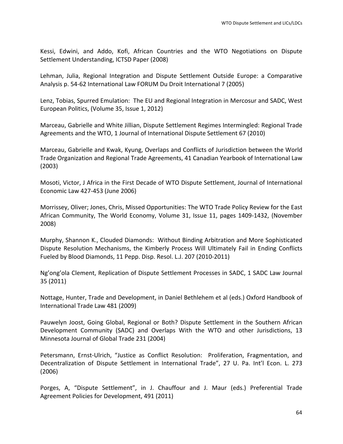Kessi, Edwini, and Addo, Kofi, African Countries and the WTO Negotiations on Dispute Settlement Understanding, ICTSD Paper (2008)

Lehman, Julia, Regional Integration and Dispute Settlement Outside Europe: a Comparative Analysis p. 54-62 International Law FORUM Du Droit International 7 (2005)

Lenz, Tobias, Spurred Emulation: The EU and Regional Integration in Mercosur and SADC, West European Politics, (Volume 35, Issue 1, 2012)

Marceau, Gabrielle and White Jillian, Dispute Settlement Regimes Intermingled: Regional Trade Agreements and the WTO, 1 Journal of International Dispute Settlement 67 (2010)

Marceau, Gabrielle and Kwak, Kyung, Overlaps and Conflicts of Jurisdiction between the World Trade Organization and Regional Trade Agreements, 41 Canadian Yearbook of International Law (2003)

Mosoti, Victor, J Africa in the First Decade of WTO Dispute Settlement, Journal of International Economic Law 427-453 (June 2006)

Morrissey, Oliver; Jones, Chris, Missed Opportunities: The WTO Trade Policy Review for the East African Community, The World Economy, Volume 31, Issue 11, pages 1409-1432, (November 2008)

Murphy, Shannon K., Clouded Diamonds: Without Binding Arbitration and More Sophisticated Dispute Resolution Mechanisms, the Kimberly Process Will Ultimately Fail in Ending Conflicts Fueled by Blood Diamonds, 11 Pepp. Disp. Resol. L.J. 207 (2010-2011)

Ng'ong'ola Clement, Replication of Dispute Settlement Processes in SADC, 1 SADC Law Journal 35 (2011)

Nottage, Hunter, Trade and Development, in Daniel Bethlehem et al (eds.) Oxford Handbook of International Trade Law 481 (2009)

Pauwelyn Joost, Going Global, Regional or Both? Dispute Settlement in the Southern African Development Community (SADC) and Overlaps With the WTO and other Jurisdictions, 13 Minnesota Journal of Global Trade 231 (2004)

Petersmann, Ernst-Ulrich, "Justice as Conflict Resolution: Proliferation, Fragmentation, and Decentralization of Dispute Settlement in International Trade", 27 U. Pa. Int'l Econ. L. 273 (2006)

Porges, A, "Dispute Settlement", in J. Chauffour and J. Maur (eds.) Preferential Trade Agreement Policies for Development, 491 (2011)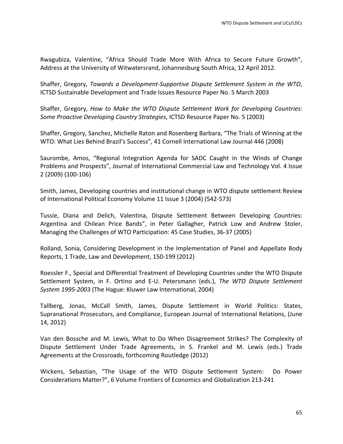Rwagubiza, Valentine, "Africa Should Trade More With Africa to Secure Future Growth", Address at the University of Witwatersrand, Johannesburg South Africa, 12 April 2012.

Shaffer, Gregory, *Towards a Development-Supportive Dispute Settlement System in the WTO*, ICTSD Sustainable Development and Trade Issues Resource Paper No. 5 March 2003

Shaffer, Gregory, *How to Make the WTO Dispute Settlement Work for Developing Countries: Some Proactive Developing Country Strategies*, ICTSD Resource Paper No. 5 (2003)

Shaffer, Gregory, Sanchez, Michelle Raton and Rosenberg Barbara, "The Trials of Winning at the WTO: What Lies Behind Brazil's Success", 41 Cornell International Law Journal 446 (2008)

Saurombe, Amos, "Regional Integration Agenda for SADC Caught in the Winds of Change Problems and Prospects", Journal of International Commercial Law and Technology Vol. 4 Issue 2 (2009) (100-106)

Smith, James, Developing countries and institutional change in WTO dispute settlement Review of International Political Economy Volume 11 Issue 3 (2004) (542-573)

Tussie, Dlana and Delich, Valentina, Dispute Settlement Between Developing Countries: Argentina and Chilean Price Bands", in Peter Gallagher, Patrick Low and Andrew Stoler, Managing the Challenges of WTO Participation: 45 Case Studies, 36-37 (2005)

Rolland, Sonia, Considering Development in the Implementation of Panel and Appellate Body Reports, 1 Trade, Law and Development, 150-199 (2012)

Roessler F., Special and Differential Treatment of Developing Countries under the WTO Dispute Settlement System, in F. Ortino and E-U. Petersmann (eds.), The WTO Dispute Settlement *System 1995-2003* (The Hague: Kluwer Law International, 2004)

Tallberg, Jonas, McCall Smith, James, Dispute Settlement in World Politics: States, Supranational Prosecutors, and Compliance, European Journal of International Relations, (June 14, 2012)

Van den Bossche and M. Lewis, What to Do When Disagreement Strikes? The Complexity of Dispute Settlement Under Trade Agreements, in S. Frankel and M. Lewis (eds.) Trade Agreements at the Crossroads, forthcoming Routledge (2012)

Wickens, Sebastian, "The Usage of the WTO Dispute Settlement System: Do Power Considerations Matter?", 6 Volume Frontiers of Economics and Globalization 213-241